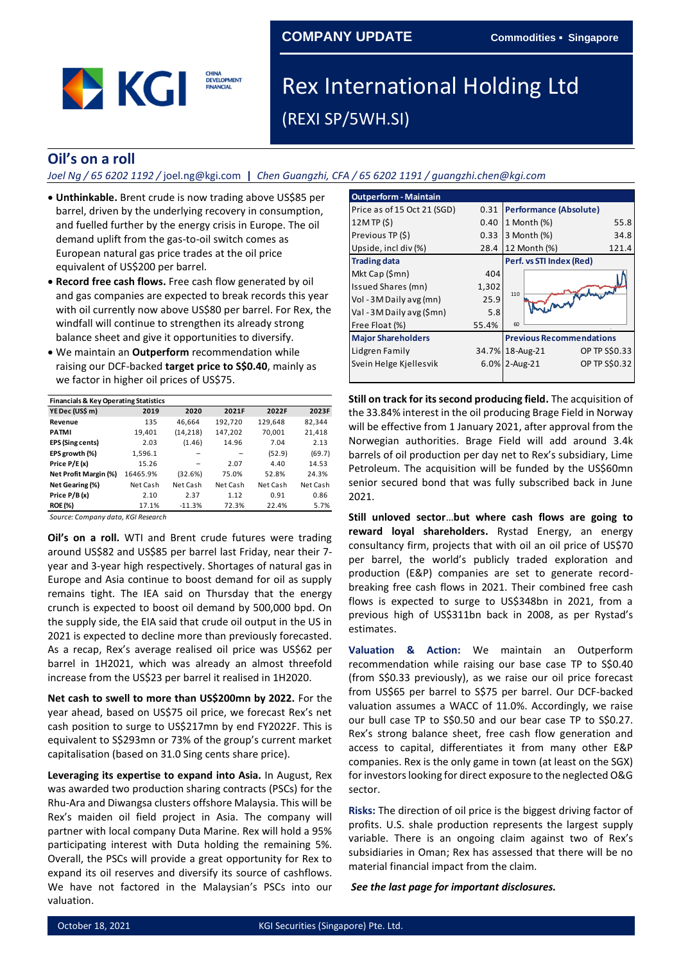# **COMPANY UPDATE Commodities ▪ Singapore**



# Rex International Holding Ltd (REXI SP/5WH.SI)

# **Oil's on a roll**

#### *Joel Ng / 65 6202 1192 /* joel.ng@kgi.com **|** *Chen Guangzhi, CFA / 65 6202 1191 / guangzhi.chen@kgi.com*

- **Unthinkable.** Brent crude is now trading above US\$85 per barrel, driven by the underlying recovery in consumption, and fuelled further by the energy crisis in Europe. The oil demand uplift from the gas-to-oil switch comes as European natural gas price trades at the oil price equivalent of US\$200 per barrel.
- **Record free cash flows.** Free cash flow generated by oil and gas companies are expected to break records this year with oil currently now above US\$80 per barrel. For Rex, the windfall will continue to strengthen its already strong balance sheet and give it opportunities to diversify.
- We maintain an **Outperform** recommendation while raising our DCF-backed **target price to S\$0.40**, mainly as we factor in higher oil prices of US\$75.

| <b>Financials &amp; Key Operating Statistics</b> |          |           |          |          |          |
|--------------------------------------------------|----------|-----------|----------|----------|----------|
| YE Dec (US\$ m)                                  | 2019     | 2020      | 2021F    | 2022F    | 2023F    |
| Revenue                                          | 135      | 46,664    | 192,720  | 129,648  | 82,344   |
| <b>PATMI</b>                                     | 19,401   | (14, 218) | 147,202  | 70,001   | 21,418   |
| <b>EPS (Sing cents)</b>                          | 2.03     | (1.46)    | 14.96    | 7.04     | 2.13     |
| EPS growth (%)                                   | 1,596.1  |           |          | (52.9)   | (69.7)   |
| Price P/E(x)                                     | 15.26    |           | 2.07     | 4.40     | 14.53    |
| Net Profit Margin (%)                            | 16465.9% | (32.6%)   | 75.0%    | 52.8%    | 24.3%    |
| Net Gearing (%)                                  | Net Cash | Net Cash  | Net Cash | Net Cash | Net Cash |
| Price P/B(x)                                     | 2.10     | 2.37      | 1.12     | 0.91     | 0.86     |
| <b>ROE (%)</b>                                   | 17.1%    | $-11.3%$  | 72.3%    | 22.4%    | 5.7%     |
|                                                  |          |           |          |          |          |

*Source: Company data, KGI Research*

**Oil's on a roll.** WTI and Brent crude futures were trading around US\$82 and US\$85 per barrel last Friday, near their 7 year and 3-year high respectively. Shortages of natural gas in Europe and Asia continue to boost demand for oil as supply remains tight. The IEA said on Thursday that the energy crunch is expected to boost oil demand by 500,000 bpd. On the supply side, the EIA said that crude oil output in the US in 2021 is expected to decline more than previously forecasted. As a recap, Rex's average realised oil price was US\$62 per barrel in 1H2021, which was already an almost threefold increase from the US\$23 per barrel it realised in 1H2020. **Second Propertively See the last page 100 minimal statistics and the last page for interaction of the second producting tensor<br>
<b>FINENCIA (FINENCIA (FINENCIA FOR INSTERNATION THEORY ARE SEEN (FINENCIA FOR INSTERNATION 118** 

**Net cash to swell to more than US\$200mn by 2022.** For the year ahead, based on US\$75 oil price, we forecast Rex's net cash position to surge to US\$217mn by end FY2022F. This is equivalent to S\$293mn or 73% of the group's current market capitalisation (based on 31.0 Sing cents share price).

**Leveraging its expertise to expand into Asia.** In August, Rex was awarded two production sharing contracts (PSCs) for the Rhu-Ara and Diwangsa clusters offshore Malaysia. This will be Rex's maiden oil field project in Asia. The company will partner with local company Duta Marine. Rex will hold a 95% participating interest with Duta holding the remaining 5%. Overall, the PSCs will provide a great opportunity for Rex to expand its oil reserves and diversify its source of cashflows. We have not factored in the Malaysian's PSCs into our valuation.

| <b>Outperform - Maintain</b> |       |                                 |               |
|------------------------------|-------|---------------------------------|---------------|
| Price as of 15 Oct 21 (SGD)  | 0.31  | <b>Performance (Absolute)</b>   |               |
| 12MTP(S)                     | 0.40  | 1 Month (%)                     | 55.8          |
| Previous TP (\$)             | 0.33  | 3 Month (%)                     | 34.8          |
| Upside, incl div (%)         | 28.4  | 12 Month (%)                    | 121.4         |
| <b>Trading data</b>          |       | Perf. vs STI Index (Red)        |               |
| Mkt Cap (\$mn)               | 404   |                                 |               |
| Issued Shares (mn)           | 1,302 |                                 |               |
| Vol - 3M Daily avg (mn)      | 25.9  | there most haben<br>110         |               |
| Val - 3M Daily avg (\$mn)    | 5.8   |                                 |               |
| Free Float (%)               | 55.4% | 60                              |               |
| <b>Major Shareholders</b>    |       | <b>Previous Recommendations</b> |               |
| Lidgren Family               |       | 34.7% 18-Aug-21                 | OP TP S\$0.33 |
| Svein Helge Kjellesvik       |       | 6.0% 2-Aug-21                   | OP TP S\$0.32 |
|                              |       |                                 |               |

**Still on track for its second producing field.** The acquisition of the 33.84% interest in the oil producing Brage Field in Norway will be effective from 1 January 2021, after approval from the Norwegian authorities. Brage Field will add around 3.4k barrels of oil production per day net to Rex's subsidiary, Lime Petroleum. The acquisition will be funded by the US\$60mn senior secured bond that was fully subscribed back in June 2021.

**Still unloved sector**…**but where cash flows are going to reward loyal shareholders.** Rystad Energy, an energy consultancy firm, projects that with oil an oil price of US\$70 per barrel, the world's publicly traded exploration and production (E&P) companies are set to generate recordbreaking free cash flows in 2021. Their combined free cash flows is expected to surge to US\$348bn in 2021, from a previous high of US\$311bn back in 2008, as per Rystad's estimates.

**Valuation & Action:** We maintain an Outperform recommendation while raising our base case TP to S\$0.40 (from S\$0.33 previously), as we raise our oil price forecast from US\$65 per barrel to S\$75 per barrel. Our DCF-backed valuation assumes a WACC of 11.0%. Accordingly, we raise our bull case TP to S\$0.50 and our bear case TP to S\$0.27. Rex's strong balance sheet, free cash flow generation and access to capital, differentiates it from many other E&P companies. Rex is the only game in town (at least on the SGX) for investors looking for direct exposure to the neglected O&G sector.

**Risks:** The direction of oil price is the biggest driving factor of profits. U.S. shale production represents the largest supply variable. There is an ongoing claim against two of Rex's subsidiaries in Oman; Rex has assessed that there will be no material financial impact from the claim.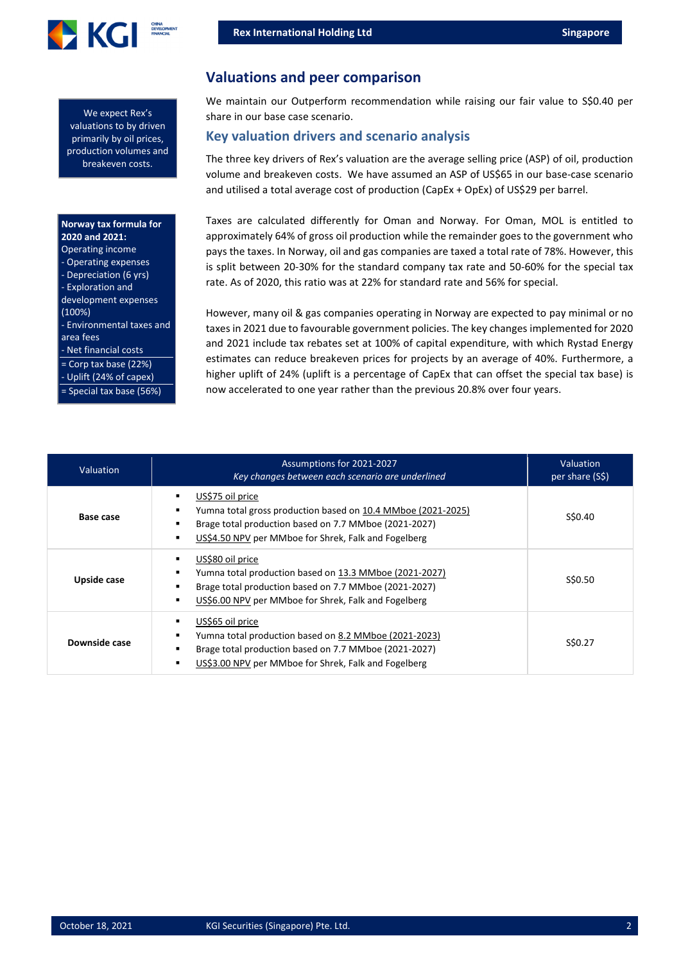

We expect Rex's valuations to by driven primarily by oil prices, production volumes and breakeven costs.

#### **Norway tax formula for 2020 and 2021:**

| <b>Operating income</b><br>- Operating expenses<br>- Depreciation (6 yrs)<br>- Exploration and<br>development expenses<br>(100%)<br>- Environmental taxes and<br>area fees<br>- Net financial costs |
|-----------------------------------------------------------------------------------------------------------------------------------------------------------------------------------------------------|
| $=$ Corp tax base (22%)<br>- Uplift (24% of capex)<br>= Special tax base (56%)                                                                                                                      |
|                                                                                                                                                                                                     |

# **Valuations and peer comparison**

We maintain our Outperform recommendation while raising our fair value to S\$0.40 per share in our base case scenario.

#### **Key valuation drivers and scenario analysis**

The three key drivers of Rex's valuation are the average selling price (ASP) of oil, production volume and breakeven costs. We have assumed an ASP of US\$65 in our base-case scenario and utilised a total average cost of production (CapEx + OpEx) of US\$29 per barrel.

Taxes are calculated differently for Oman and Norway. For Oman, MOL is entitled to approximately 64% of gross oil production while the remainder goes to the government who pays the taxes. In Norway, oil and gas companies are taxed a total rate of 78%. However, this is split between 20-30% for the standard company tax rate and 50-60% for the special tax rate. As of 2020, this ratio was at 22% for standard rate and 56% for special.

However, many oil & gas companies operating in Norway are expected to pay minimal or no taxes in 2021 due to favourable government policies. The key changes implemented for 2020 and 2021 include tax rebates set at 100% of capital expenditure, with which Rystad Energy estimates can reduce breakeven prices for projects by an average of 40%. Furthermore, a higher uplift of 24% (uplift is a percentage of CapEx that can offset the special tax base) is now accelerated to one year rather than the previous 20.8% over four years.

| <b>Valuation</b> | Assumptions for 2021-2027<br>Key changes between each scenario are underlined                                                                                                                     | Valuation<br>per share (S\$) |
|------------------|---------------------------------------------------------------------------------------------------------------------------------------------------------------------------------------------------|------------------------------|
| Base case        | US\$75 oil price<br>Yumna total gross production based on 10.4 MMboe (2021-2025)<br>Brage total production based on 7.7 MMboe (2021-2027)<br>US\$4.50 NPV per MMboe for Shrek, Falk and Fogelberg | S\$0.40                      |
| Upside case      | US\$80 oil price<br>Yumna total production based on 13.3 MMboe (2021-2027)<br>Brage total production based on 7.7 MMboe (2021-2027)<br>US\$6.00 NPV per MMboe for Shrek, Falk and Fogelberg       | S\$0.50                      |
| Downside case    | US\$65 oil price<br>Yumna total production based on 8.2 MMboe (2021-2023)<br>Brage total production based on 7.7 MMboe (2021-2027)<br>US\$3.00 NPV per MMboe for Shrek, Falk and Fogelberg        | S\$0.27                      |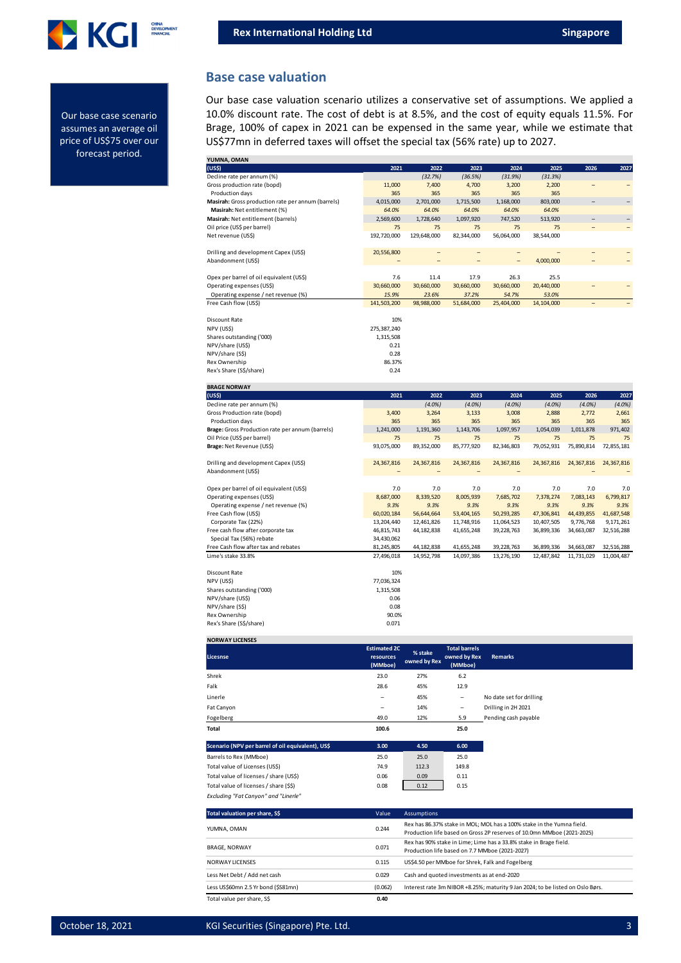

Our base case scenario assumes an average oil price of US\$75 over our forecast period.

#### **Base case valuation**

Our base case valuation scenario utilizes a conservative set of assumptions. We applied a 10.0% discount rate. The cost of debt is at 8.5%, and the cost of equity equals 11.5%. For Brage, 100% of capex in 2021 can be expensed in the same year, while we estimate that US\$77mn in deferred taxes will offset the special tax (56% rate) up to 2027.

| YUMNA, OMAN                                        |             |                          |                   |                   |                          |                          |            |
|----------------------------------------------------|-------------|--------------------------|-------------------|-------------------|--------------------------|--------------------------|------------|
| (US <sub>5</sub> )                                 | 2021        | 2022                     | 2023              | 2024              | 2025                     | 2026                     | 2027       |
| Decline rate per annum (%)                         |             | (32.7%)                  | (36.5%)           | (31.9%)           | (31.3%)                  |                          |            |
| Gross production rate (bopd)                       | 11,000      | 7,400                    | 4,700             | 3,200             | 2,200                    | $\overline{\phantom{0}}$ |            |
| Production days                                    | 365         | 365                      | 365               | 365               | 365                      |                          |            |
| Masirah: Gross production rate per annum (barrels) | 4,015,000   | 2,701,000                | 1,715,500         | 1,168,000         | 803,000                  |                          |            |
| Masirah: Net entitlement (%)                       | 64.0%       | 64.0%                    | 64.0%             | 64.0%             | 64.0%                    |                          |            |
| Masirah: Net entitlement (barrels)                 | 2,569,600   | 1,728,640                | 1,097,920         | 747,520           | 513,920                  |                          |            |
| Oil price (US\$ per barrel)                        | 75          | 75                       | 75                | 75                | 75                       |                          |            |
| Net revenue (US\$)                                 | 192,720,000 | 129,648,000              | 82,344,000        | 56,064,000        | 38,544,000               |                          |            |
|                                                    |             |                          |                   |                   |                          |                          |            |
| Drilling and development Capex (US\$)              | 20,556,800  | $\overline{\phantom{0}}$ | $\qquad \qquad -$ | $\qquad \qquad -$ | $\overline{\phantom{0}}$ |                          |            |
| Abandonment (US\$)                                 |             |                          |                   |                   | 4,000,000                |                          |            |
|                                                    |             |                          |                   |                   |                          |                          |            |
| Opex per barrel of oil equivalent (US\$)           | 7.6         | 11.4                     | 17.9              | 26.3              | 25.5                     |                          |            |
| Operating expenses (US\$)                          | 30,660,000  | 30,660,000               | 30,660,000        | 30,660,000        | 20,440,000               |                          |            |
| Operating expense / net revenue (%)                | 15.9%       | 23.6%                    | 37.2%             | 54.7%             | 53.0%                    |                          |            |
| Free Cash flow (US\$)                              | 141,503,200 | 98,988,000               | 51,684,000        | 25,404,000        | 14,104,000               |                          |            |
|                                                    |             |                          |                   |                   |                          |                          |            |
| Discount Rate                                      | 10%         |                          |                   |                   |                          |                          |            |
| NPV (US\$)                                         | 275,387,240 |                          |                   |                   |                          |                          |            |
| Shares outstanding ('000)                          | 1,315,508   |                          |                   |                   |                          |                          |            |
| NPV/share (US\$)                                   | 0.21        |                          |                   |                   |                          |                          |            |
| NPV/share (S\$)                                    | 0.28        |                          |                   |                   |                          |                          |            |
| Rex Ownership                                      | 86.37%      |                          |                   |                   |                          |                          |            |
| Rex's Share (S\$/share)                            | 0.24        |                          |                   |                   |                          |                          |            |
|                                                    |             |                          |                   |                   |                          |                          |            |
| <b>BRAGE NORWAY</b>                                |             |                          |                   |                   |                          |                          |            |
|                                                    |             |                          |                   |                   |                          |                          |            |
| (US <sub>5</sub> )                                 | 2021        | 2022                     | 2023              | 2024              | 2025                     | 2026                     | 2027       |
| Decline rate per annum (%)                         |             | $(4.0\%)$                | $(4.0\%)$         | (4.0%             | $(4.0\%)$                | $(4.0\%)$                | (4.0%)     |
| Gross Production rate (bopd)                       | 3,400       | 3,264                    | 3,133             | 3,008             | 2,888                    | 2,772                    | 2,661      |
| Production days                                    | 365         | 365                      | 365               | 365               | 365                      | 365                      | 365        |
| Brage: Gross Production rate per annum (barrels)   | 1,241,000   | 1,191,360                | 1,143,706         | 1,097,957         | 1,054,039                | 1,011,878                | 971,402    |
| Oil Price (US\$ per barrel)                        | 75          | 75                       | 75                | 75                | 75                       | 75                       | 75         |
| Brage: Net Revenue (US\$)                          | 93,075,000  | 89,352,000               | 85,777,920        | 82,346,803        | 79,052,931               | 75,890,814               | 72,855,181 |
|                                                    |             |                          |                   |                   |                          |                          |            |
| Drilling and development Capex (US\$)              | 24,367,816  | 24,367,816               | 24,367,816        | 24,367,816        | 24,367,816               | 24,367,816               | 24,367,816 |
| Abandonment (US\$)                                 |             |                          |                   |                   |                          |                          |            |
|                                                    |             |                          |                   |                   |                          |                          |            |
| Opex per barrel of oil equivalent (US\$)           | 7.0         | 7.0                      | 7.0               | 7.0               | 7.0                      | 7.0                      | 7.0        |
| Operating expenses (US\$)                          | 8,687,000   | 8,339,520                | 8,005,939         | 7,685,702         | 7,378,274                | 7,083,143                | 6,799,817  |
| Operating expense / net revenue (%)                | 9.3%        | 9.3%                     | 9.3%              | 9.3%              | 9.3%                     | 9.3%                     | 9.3%       |
| Free Cash flow (US\$)                              | 60,020,184  | 56,644,664               | 53,404,165        | 50,293,285        | 47,306,841               | 44,439,855               | 41,687,548 |
| Corporate Tax (22%)                                | 13,204,440  | 12,461,826               | 11,748,916        | 11,064,523        | 10,407,505               | 9,776,768                | 9,171,261  |
| Free cash flow after corporate tax                 | 46,815,743  | 44, 182, 838             | 41,655,248        | 39,228,763        | 36,899,336               | 34,663,087               | 32,516,288 |
| Special Tax (56%) rebate                           | 34,430,062  |                          |                   |                   |                          |                          |            |
| Free Cash flow after tax and rebates               | 81,245,805  | 44, 182, 838             | 41,655,248        | 39,228,763        | 36,899,336               | 34,663,087               | 32,516,288 |
| Lime's stake 33.8%                                 | 27,496,018  | 14,952,798               | 14,097,386        | 13,276,190        | 12,487,842               | 11,731,029               | 11,004,487 |
|                                                    |             |                          |                   |                   |                          |                          |            |
| Discount Rate                                      | 10%         |                          |                   |                   |                          |                          |            |
| NPV (US\$)                                         | 77,036,324  |                          |                   |                   |                          |                          |            |
| Shares outstanding ('000)                          | 1,315,508   |                          |                   |                   |                          |                          |            |
| NPV/share (US\$)                                   | 0.06        |                          |                   |                   |                          |                          |            |
| NPV/share (S\$)                                    | 0.08        |                          |                   |                   |                          |                          |            |
| Rex Ownership                                      | 90.0%       |                          |                   |                   |                          |                          |            |
| Rex's Share (S\$/share)                            | 0.071       |                          |                   |                   |                          |                          |            |

| <b>NORWAY LICENSES</b>                            |                                             |                         |                                                 |                          |
|---------------------------------------------------|---------------------------------------------|-------------------------|-------------------------------------------------|--------------------------|
| Licesnse                                          | <b>Estimated 2C</b><br>resources<br>(MMboe) | % stake<br>owned by Rex | <b>Total barrels</b><br>owned by Rex<br>(MMboe) | <b>Remarks</b>           |
| Shrek                                             | 23.0                                        | 27%                     | 6.2                                             |                          |
| Falk                                              | 28.6                                        | 45%                     | 12.9                                            |                          |
| Linerle                                           | -                                           | 45%                     | -                                               | No date set for drilling |
| Fat Canyon                                        | -                                           | 14%                     | $\overline{\phantom{a}}$                        | Drilling in 2H 2021      |
| Fogelberg                                         | 49.0                                        | 12%                     | 5.9                                             | Pending cash payable     |
| <b>Total</b>                                      | 100.6                                       |                         | 25.0                                            |                          |
| Scenario (NPV per barrel of oil equivalent), US\$ | 3.00                                        | 4.50                    | 6.00                                            |                          |
| Barrels to Rex (MMboe)                            | 25.0                                        | 25.0                    | 25.0                                            |                          |
| Total value of Licenses (US\$)                    | 74.9                                        | 112.3                   | 149.8                                           |                          |
| Total value of licenses / share (US\$)            | 0.06                                        | 0.09                    | 0.11                                            |                          |
| Total value of licenses / share (\$\$)            | 0.08                                        | 0.12                    | 0.15                                            |                          |
| Excluding "Fat Canyon" and "Linerle"              |                                             |                         |                                                 |                          |

| Total valuation per share, S\$      | Value   | <b>Assumptions</b>                                                                                                                              |
|-------------------------------------|---------|-------------------------------------------------------------------------------------------------------------------------------------------------|
| YUMNA, OMAN                         | 0.244   | Rex has 86.37% stake in MOL; MOL has a 100% stake in the Yumna field.<br>Production life based on Gross 2P reserves of 10.0mn MMboe (2021-2025) |
| <b>BRAGE, NORWAY</b>                | 0.071   | Rex has 90% stake in Lime; Lime has a 33.8% stake in Brage field.<br>Production life based on 7.7 MMboe (2021-2027)                             |
| <b>NORWAY LICENSES</b>              | 0.115   | US\$4.50 per MMboe for Shrek, Falk and Fogelberg                                                                                                |
| Less Net Debt / Add net cash        | 0.029   | Cash and quoted investments as at end-2020                                                                                                      |
| Less US\$60mn 2.5 Yr bond (\$S81mn) | (0.062) | Interest rate 3m NIBOR +8.25%; maturity 9 Jan 2024; to be listed on Oslo Børs.                                                                  |
| Total value per share, S\$          | 0.40    |                                                                                                                                                 |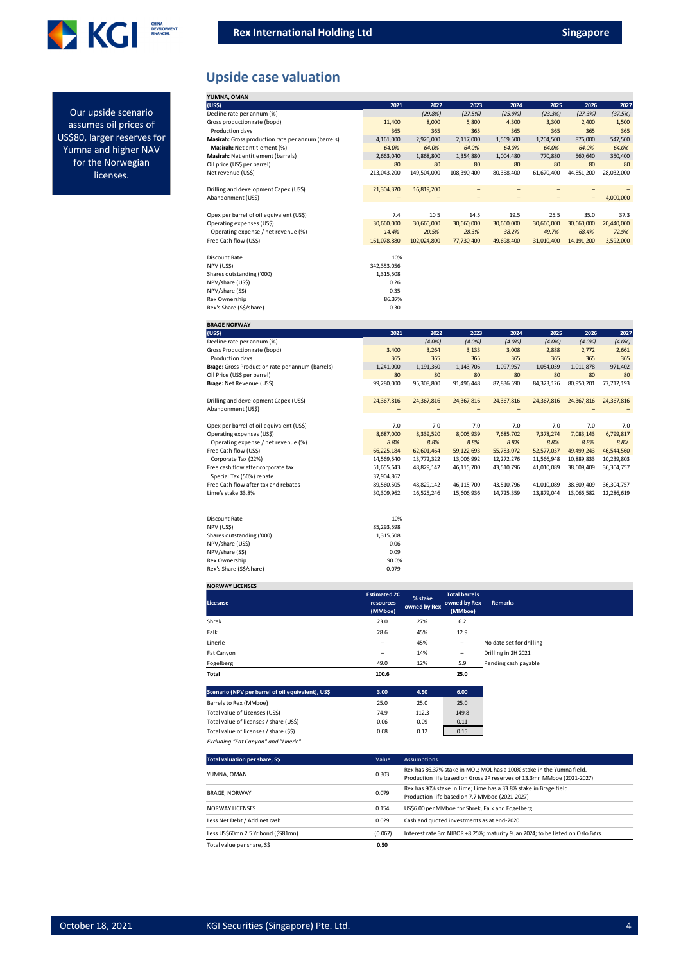

**Upside case valuation**

| YUMNA, OMAN                                        |             |             |             |            |            |                          |            |
|----------------------------------------------------|-------------|-------------|-------------|------------|------------|--------------------------|------------|
| (US\$)                                             | 2021        | 2022        | 2023        | 2024       | 2025       | 2026                     | 2027       |
| Decline rate per annum (%)                         |             | (29.8%)     | (27.5%)     | (25.9%)    | (23.3%)    | (27.3%)                  | (37.5%)    |
| Gross production rate (bopd)                       | 11,400      | 8.000       | 5,800       | 4,300      | 3,300      | 2,400                    | 1,500      |
| Production days                                    | 365         | 365         | 365         | 365        | 365        | 365                      | 365        |
| Masirah: Gross production rate per annum (barrels) | 4,161,000   | 2,920,000   | 2.117.000   | 1,569,500  | 1,204,500  | 876.000                  | 547,500    |
| Masirah: Net entitlement (%)                       | 64.0%       | 64.0%       | 64.0%       | 64.0%      | 64.0%      | 64.0%                    | 64.0%      |
| Masirah: Net entitlement (barrels)                 | 2,663,040   | 1,868,800   | 1,354,880   | 1,004,480  | 770,880    | 560,640                  | 350,400    |
| Oil price (US\$ per barrel)                        | 80          | 80          | 80          | 80         | 80         | 80                       | 80         |
| Net revenue (US\$)                                 | 213.043.200 | 149.504.000 | 108.390.400 | 80.358.400 | 61,670,400 | 44.851.200               | 28,032,000 |
|                                                    |             |             |             |            |            |                          |            |
| Drilling and development Capex (US\$)              | 21,304,320  | 16,819,200  | -           | -          |            |                          |            |
| Abandonment (US\$)                                 |             |             | -           | -          |            | $\overline{\phantom{0}}$ | 4,000,000  |
|                                                    |             |             |             |            |            |                          |            |
| Opex per barrel of oil equivalent (US\$)           | 7.4         | 10.5        | 14.5        | 19.5       | 25.5       | 35.0                     | 37.3       |
| Operating expenses (US\$)                          | 30,660,000  | 30,660,000  | 30,660,000  | 30,660,000 | 30,660,000 | 30,660,000               | 20,440,000 |
| Operating expense / net revenue (%)                | 14.4%       | 20.5%       | 28.3%       | 38.2%      | 49.7%      | 68.4%                    | 72.9%      |
| Free Cash flow (US\$)                              | 161,078,880 | 102,024,800 | 77,730,400  | 49,698,400 | 31,010,400 | 14, 191, 200             | 3,592,000  |
|                                                    |             |             |             |            |            |                          |            |
| Discount Rate                                      | 10%         |             |             |            |            |                          |            |
| NPV (US\$)                                         | 342,353,056 |             |             |            |            |                          |            |
| Shares outstanding ('000)                          | 1,315,508   |             |             |            |            |                          |            |
| NPV/share (US\$)                                   | 0.26        |             |             |            |            |                          |            |
| NPV/share (S\$)                                    | 0.35        |             |             |            |            |                          |            |
| Rex Ownership                                      | 86.37%      |             |             |            |            |                          |            |
| Rex's Share (S\$/share)                            | 0.30        |             |             |            |            |                          |            |

| <b>BRAGE NORWAY</b>                              |            |            |            |            |            |            |              |
|--------------------------------------------------|------------|------------|------------|------------|------------|------------|--------------|
| (US\$)                                           | 2021       | 2022       | 2023       | 2024       | 2025       | 2026       | 2027         |
| Decline rate per annum (%)                       |            | $(4.0\%)$  | $(4.0\%)$  | $(4.0\%)$  | $(4.0\%)$  | $(4.0\%)$  | $(4.0\%)$    |
| Gross Production rate (bopd)                     | 3,400      | 3,264      | 3,133      | 3,008      | 2,888      | 2,772      | 2,661        |
| Production days                                  | 365        | 365        | 365        | 365        | 365        | 365        | 365          |
| Brage: Gross Production rate per annum (barrels) | 1,241,000  | 1,191,360  | 1,143,706  | 1,097,957  | 1,054,039  | 1,011,878  | 971,402      |
| Oil Price (US\$ per barrel)                      | 80         | 80         | 80         | 80         | 80         | 80         | 80           |
| Brage: Net Revenue (US\$)                        | 99,280,000 | 95,308,800 | 91,496,448 | 87,836,590 | 84,323,126 | 80,950,201 | 77,712,193   |
| Drilling and development Capex (US\$)            | 24,367,816 | 24,367,816 | 24,367,816 | 24,367,816 | 24,367,816 | 24,367,816 | 24,367,816   |
| Abandonment (US\$)                               |            |            |            |            |            |            |              |
|                                                  |            |            |            |            |            |            |              |
| Opex per barrel of oil equivalent (US\$)         | 7.0        | 7.0        | 7.0        | 7.0        | 7.0        | 7.0        | 7.0          |
| Operating expenses (US\$)                        | 8,687,000  | 8,339,520  | 8,005,939  | 7,685,702  | 7,378,274  | 7,083,143  | 6,799,817    |
| Operating expense / net revenue (%)              | 8.8%       | 8.8%       | 8.8%       | 8.8%       | 8.8%       | 8.8%       | 8.8%         |
| Free Cash flow (US\$)                            | 66,225,184 | 62,601,464 | 59,122,693 | 55,783,072 | 52,577,037 | 49,499,243 | 46,544,560   |
| Corporate Tax (22%)                              | 14,569,540 | 13,772,322 | 13,006,992 | 12,272,276 | 11,566,948 | 10,889,833 | 10,239,803   |
| Free cash flow after corporate tax               | 51,655,643 | 48,829,142 | 46,115,700 | 43,510,796 | 41,010,089 | 38,609,409 | 36, 304, 757 |
| Special Tax (56%) rebate                         | 37.904.862 |            |            |            |            |            |              |
| Free Cash flow after tax and rebates             | 89,560,505 | 48,829,142 | 46,115,700 | 43,510,796 | 41,010,089 | 38,609,409 | 36,304,757   |
| Lime's stake 33.8%                               | 30,309,962 | 16,525,246 | 15,606,936 | 14,725,359 | 13,879,044 | 13,066,582 | 12,286,619   |
|                                                  |            |            |            |            |            |            |              |
| Discount Rate                                    | 10%        |            |            |            |            |            |              |
| NPV (US\$)                                       | 85,293,598 |            |            |            |            |            |              |
| Shares outstanding ('000)                        | 1,315,508  |            |            |            |            |            |              |
| NPV/share (US\$)                                 | 0.06       |            |            |            |            |            |              |
| NPV/share (S\$)                                  | 0.09       |            |            |            |            |            |              |
| Rex Ownership                                    | 90.0%      |            |            |            |            |            |              |
| Rex's Share (S\$/share)                          | 0.079      |            |            |            |            |            |              |

| <b>NORWAY LICENSES</b> |  |
|------------------------|--|
|                        |  |

*Excluding "Fat Canyon" and "Linerle"*

| Licesnse                                          | <b>Estimated 2C</b><br>resources<br>(MMboe) | % stake<br>owned by Rex | <b>Total barrels</b><br>owned by Rex<br>(MMboe) | <b>Remarks</b>           |
|---------------------------------------------------|---------------------------------------------|-------------------------|-------------------------------------------------|--------------------------|
| Shrek                                             | 23.0                                        | 27%                     | 6.2                                             |                          |
| Falk                                              | 28.6                                        | 45%                     | 12.9                                            |                          |
| Linerle                                           | -                                           | 45%                     | $\overline{\phantom{a}}$                        | No date set for drilling |
| Fat Canyon                                        | -                                           | 14%                     | -                                               | Drilling in 2H 2021      |
| Fogelberg                                         | 49.0                                        | 12%                     | 5.9                                             | Pending cash payable     |
| Total                                             | 100.6                                       |                         | 25.0                                            |                          |
| Scenario (NPV per barrel of oil equivalent), US\$ | 3.00                                        | 4.50                    | 6.00                                            |                          |
| Barrels to Rex (MMboe)                            | 25.0                                        | 25.0                    | 25.0                                            |                          |
| Total value of Licenses (US\$)                    | 74.9                                        | 112.3                   | 149.8                                           |                          |
| Total value of licenses / share (US\$)            | 0.06                                        | 0.09                    | 0.11                                            |                          |
| Total value of licenses / share (\$\$)            | 0.08                                        | 0.12                    | 0.15                                            |                          |

| Total valuation per share, S\$      | Value   | <b>Assumptions</b>                                                                                                                              |
|-------------------------------------|---------|-------------------------------------------------------------------------------------------------------------------------------------------------|
| YUMNA, OMAN                         | 0.303   | Rex has 86.37% stake in MOL; MOL has a 100% stake in the Yumna field.<br>Production life based on Gross 2P reserves of 13.3mn MMboe (2021-2027) |
| <b>BRAGE, NORWAY</b>                | 0.079   | Rex has 90% stake in Lime; Lime has a 33.8% stake in Brage field.<br>Production life based on 7.7 MMboe (2021-2027)                             |
| NORWAY LICENSES                     | 0.154   | US\$6.00 per MMboe for Shrek, Falk and Fogelberg                                                                                                |
| Less Net Debt / Add net cash        | 0.029   | Cash and quoted investments as at end-2020                                                                                                      |
| Less US\$60mn 2.5 Yr bond (\$S81mn) | (0.062) | Interest rate 3m NIBOR +8.25%; maturity 9 Jan 2024; to be listed on Oslo Børs.                                                                  |
| Total value per share, S\$          | 0.50    |                                                                                                                                                 |

Our upside scenario assumes oil prices of US\$80, larger reserves for Yumna and higher NAV for the Norwegian licenses.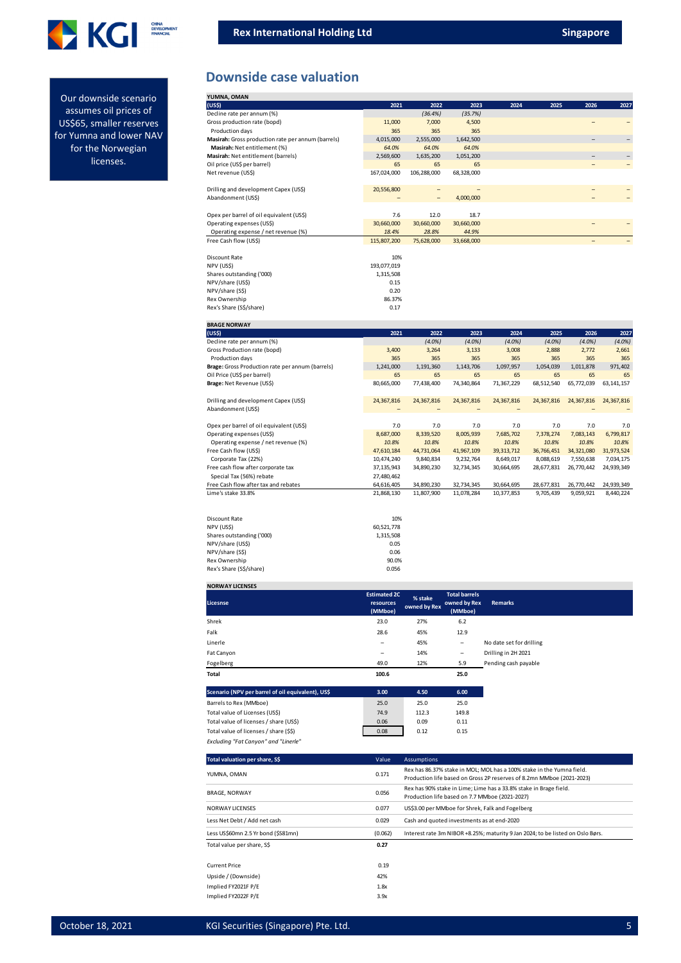



Our downside scenario assumes oil prices of US\$65, smaller reserves for Yumna and lower NAV for the Norwegian licenses.

### **Downside case valuation**

| YUMNA, OMAN                                        |             |                   |            |      |      |      |                   |
|----------------------------------------------------|-------------|-------------------|------------|------|------|------|-------------------|
| (US\$)                                             | 2021        | 2022              | 2023       | 2024 | 2025 | 2026 | 2027              |
| Decline rate per annum (%)                         |             | (36.4%)           | (35.7%)    |      |      |      |                   |
| Gross production rate (bopd)                       | 11,000      | 7,000             | 4,500      |      |      |      |                   |
| Production days                                    | 365         | 365               | 365        |      |      |      |                   |
| Masirah: Gross production rate per annum (barrels) | 4,015,000   | 2,555,000         | 1,642,500  |      |      | -    | $\qquad \qquad -$ |
| Masirah: Net entitlement (%)                       | 64.0%       | 64.0%             | 64.0%      |      |      |      |                   |
| Masirah: Net entitlement (barrels)                 | 2,569,600   | 1,635,200         | 1,051,200  |      |      |      |                   |
| Oil price (US\$ per barrel)                        | 65          | 65                | 65         |      |      |      |                   |
| Net revenue (US\$)                                 | 167,024,000 | 106,288,000       | 68,328,000 |      |      |      |                   |
|                                                    |             |                   |            |      |      |      |                   |
| Drilling and development Capex (US\$)              | 20,556,800  |                   |            |      |      |      |                   |
| Abandonment (US\$)                                 |             | $\qquad \qquad -$ | 4,000,000  |      |      |      |                   |
|                                                    |             |                   |            |      |      |      |                   |
| Opex per barrel of oil equivalent (US\$)           | 7.6         | 12.0              | 18.7       |      |      |      |                   |
| Operating expenses (US\$)                          | 30,660,000  | 30,660,000        | 30,660,000 |      |      |      |                   |
| Operating expense / net revenue (%)                | 18.4%       | 28.8%             | 44.9%      |      |      |      |                   |
| Free Cash flow (US\$)                              | 115,807,200 | 75,628,000        | 33,668,000 |      |      | -    |                   |
|                                                    |             |                   |            |      |      |      |                   |
| Discount Rate                                      | 10%         |                   |            |      |      |      |                   |
| NPV (USS)                                          | 193,077,019 |                   |            |      |      |      |                   |
| Shares outstanding ('000)                          | 1,315,508   |                   |            |      |      |      |                   |
| NPV/share (US\$)                                   | 0.15        |                   |            |      |      |      |                   |
| NPV/share (S\$)                                    | 0.20        |                   |            |      |      |      |                   |
| Rex Ownership                                      | 86.37%      |                   |            |      |      |      |                   |
| Rex's Share (S\$/share)                            | 0.17        |                   |            |      |      |      |                   |

| <b>BRAGE NORWAY</b>                              |            |            |            |              |            |            |              |
|--------------------------------------------------|------------|------------|------------|--------------|------------|------------|--------------|
| (US <sub>5</sub> )                               | 2021       | 2022       | 2023       | 2024         | 2025       | 2026       | 2027         |
| Decline rate per annum (%)                       |            | $(4.0\%)$  | (4.0%      | $(4.0\%)$    | $(4.0\%)$  | $(4.0\%)$  | $(4.0\%)$    |
| Gross Production rate (bopd)                     | 3,400      | 3,264      | 3,133      | 3,008        | 2,888      | 2.772      | 2,661        |
| Production days                                  | 365        | 365        | 365        | 365          | 365        | 365        | 365          |
| Brage: Gross Production rate per annum (barrels) | 1,241,000  | 1,191,360  | 1,143,706  | 1,097,957    | 1,054,039  | 1,011,878  | 971,402      |
| Oil Price (US\$ per barrel)                      | 65         | 65         | 65         | 65           | 65         | 65         | 65           |
| Brage: Net Revenue (US\$)                        | 80,665,000 | 77,438,400 | 74,340,864 | 71,367,229   | 68,512,540 | 65,772,039 | 63, 141, 157 |
| Drilling and development Capex (US\$)            | 24,367,816 | 24,367,816 | 24,367,816 | 24,367,816   | 24,367,816 | 24,367,816 | 24,367,816   |
| Abandonment (US\$)                               |            |            |            |              |            |            |              |
|                                                  |            |            |            |              |            |            |              |
| Opex per barrel of oil equivalent (US\$)         | 7.0        | 7.0        | 7.0        | 7.0          | 7.0        | 7.0        | 7.0          |
| Operating expenses (US\$)                        | 8,687,000  | 8,339,520  | 8,005,939  | 7,685,702    | 7,378,274  | 7,083,143  | 6,799,817    |
| Operating expense / net revenue (%)              | 10.8%      | 10.8%      | 10.8%      | 10.8%        | 10.8%      | 10.8%      | 10.8%        |
| Free Cash flow (US\$)                            | 47,610,184 | 44,731,064 | 41,967,109 | 39, 313, 712 | 36,766,451 | 34,321,080 | 31,973,524   |
| Corporate Tax (22%)                              | 10,474,240 | 9,840,834  | 9,232,764  | 8,649,017    | 8,088,619  | 7,550,638  | 7,034,175    |
| Free cash flow after corporate tax               | 37,135,943 | 34,890,230 | 32,734,345 | 30,664,695   | 28,677,831 | 26,770,442 | 24,939,349   |
| Special Tax (56%) rebate                         | 27,480,462 |            |            |              |            |            |              |
| Free Cash flow after tax and rebates             | 64,616,405 | 34,890,230 | 32,734,345 | 30,664,695   | 28,677,831 | 26,770,442 | 24,939,349   |
| Lime's stake 33.8%                               | 21,868,130 | 11,807,900 | 11,078,284 | 10,377,853   | 9,705,439  | 9,059,921  | 8,440,224    |
| <b>Discount Rate</b>                             | 10%        |            |            |              |            |            |              |
| NPV (US\$)                                       | 60,521,778 |            |            |              |            |            |              |
| Shares outstanding ('000)                        | 1,315,508  |            |            |              |            |            |              |
| NPV/share (US\$)                                 | 0.05       |            |            |              |            |            |              |
| NPV/share (S\$)                                  | 0.06       |            |            |              |            |            |              |
| Rex Ownership                                    | 90.0%      |            |            |              |            |            |              |
| Rex's Share (S\$/share)                          | 0.056      |            |            |              |            |            |              |

### **NORWAY LICENSES**

| Licesnse                                          | <b>Estimated 2C</b><br>resources<br>(MMboe) | % stake<br>owned by Rex | <b>Total barrels</b><br>owned by Rex<br>(MMboe) | Remarks                  |
|---------------------------------------------------|---------------------------------------------|-------------------------|-------------------------------------------------|--------------------------|
| Shrek                                             | 23.0                                        | 27%                     | 6.2                                             |                          |
| Falk                                              | 28.6                                        | 45%                     | 12.9                                            |                          |
| Linerle                                           | -                                           | 45%                     | -                                               | No date set for drilling |
| Fat Canyon                                        | -                                           | 14%                     | -                                               | Drilling in 2H 2021      |
| Fogelberg                                         | 49.0                                        | 12%                     | 5.9                                             | Pending cash payable     |
| Total                                             | 100.6                                       |                         | 25.0                                            |                          |
| Scenario (NPV per barrel of oil equivalent), US\$ | 3.00                                        | 4.50                    | 6.00                                            |                          |
| Barrels to Rex (MMboe)                            | 25.0                                        | 25.0                    | 25.0                                            |                          |
| Total value of Licenses (US\$)                    | 74.9                                        | 112.3                   | 149.8                                           |                          |
| Total value of licenses / share (US\$)            | 0.06                                        | 0.09                    | 0.11                                            |                          |
| Total value of licenses / share (\$\$)            | 0.08                                        | 0.12                    | 0.15                                            |                          |
| Excluding "Fat Canyon" and "Linerle"              |                                             |                         |                                                 |                          |

| Total valuation per share, S\$      | Value   | <b>Assumptions</b>                                                                                                                             |
|-------------------------------------|---------|------------------------------------------------------------------------------------------------------------------------------------------------|
| YUMNA, OMAN                         | 0.171   | Rex has 86.37% stake in MOL; MOL has a 100% stake in the Yumna field.<br>Production life based on Gross 2P reserves of 8.2mn MMboe (2021-2023) |
| <b>BRAGE, NORWAY</b>                | 0.056   | Rex has 90% stake in Lime; Lime has a 33.8% stake in Brage field.<br>Production life based on 7.7 MMboe (2021-2027)                            |
| <b>NORWAY LICENSES</b>              | 0.077   | US\$3.00 per MMboe for Shrek, Falk and Fogelberg                                                                                               |
| Less Net Debt / Add net cash        | 0.029   | Cash and quoted investments as at end-2020                                                                                                     |
| Less US\$60mn 2.5 Yr bond (\$S81mn) | (0.062) | Interest rate 3m NIBOR +8.25%; maturity 9 Jan 2024; to be listed on Oslo Børs.                                                                 |
| Total value per share, S\$          | 0.27    |                                                                                                                                                |
| <b>Current Price</b>                | 0.19    |                                                                                                                                                |
| Upside / (Downside)                 | 42%     |                                                                                                                                                |
| Implied FY2021F P/E                 | 1.8x    |                                                                                                                                                |
| Implied FY2022F P/E                 | 3.9x    |                                                                                                                                                |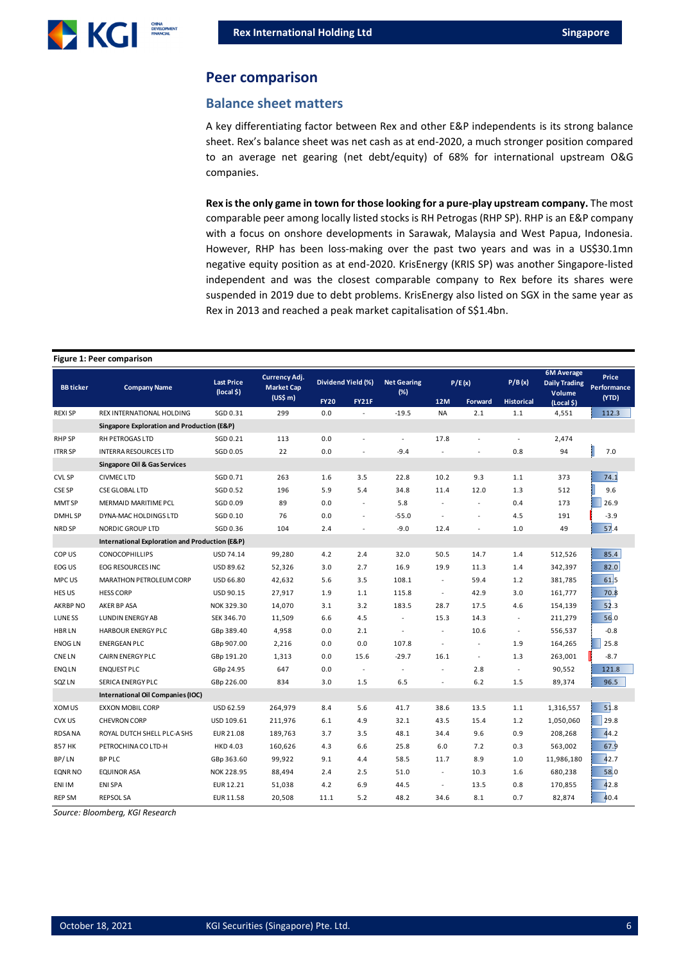

#### **Peer comparison**

#### **Balance sheet matters**

A key differentiating factor between Rex and other E&P independents is its strong balance sheet. Rex's balance sheet was net cash as at end-2020, a much stronger position compared to an average net gearing (net debt/equity) of 68% for international upstream O&G companies.

**Rex is the only game in town for those looking for a pure-play upstream company.** The most comparable peer among locally listed stocks is RH Petrogas (RHP SP). RHP is an E&P company with a focus on onshore developments in Sarawak, Malaysia and West Papua, Indonesia. However, RHP has been loss-making over the past two years and was in a US\$30.1mn negative equity position as at end-2020. KrisEnergy (KRIS SP) was another Singapore-listed independent and was the closest comparable company to Rex before its shares were suspended in 2019 due to debt problems. KrisEnergy also listed on SGX in the same year as Rex in 2013 and reached a peak market capitalisation of S\$1.4bn.

#### **Figure 1: Peer comparison**

| <b>BB</b> ticker | <b>Company Name</b>                            | <b>Last Price</b><br>(local \$) | Currency Adj.<br><b>Market Cap</b> | Dividend Yield (%) |                | <b>Net Gearing</b><br>(%) | P/E(x)                   |                     | P/B(x)            | <b>6M Average</b><br><b>Daily Trading</b><br>Volume | <b>Price</b><br>Performance |
|------------------|------------------------------------------------|---------------------------------|------------------------------------|--------------------|----------------|---------------------------|--------------------------|---------------------|-------------------|-----------------------------------------------------|-----------------------------|
|                  |                                                |                                 | (US\$m)                            | <b>FY20</b>        | <b>FY21F</b>   |                           | <b>12M</b>               | Forward             | <b>Historical</b> | (Local \$)                                          | (YTD)                       |
| <b>REXISP</b>    | REX INTERNATIONAL HOLDING                      | SGD 0.31                        | 299                                | 0.0                |                | $-19.5$                   | <b>NA</b>                | 2.1                 | 1.1               | 4,551                                               | 112.3                       |
|                  | Singapore Exploration and Production (E&P)     |                                 |                                    |                    |                |                           |                          |                     |                   |                                                     |                             |
| <b>RHP SP</b>    | <b>RH PETROGAS LTD</b>                         | SGD 0.21                        | 113                                | 0.0                |                | ÷.                        | 17.8                     |                     | ÷.                | 2,474                                               |                             |
| <b>ITRR SP</b>   | <b>INTERRA RESOURCES LTD</b>                   | SGD 0.05                        | 22                                 | 0.0                | ÷,             | $-9.4$                    |                          | ÷,                  | 0.8               | 94                                                  | 7.0                         |
|                  | <b>Singapore Oil &amp; Gas Services</b>        |                                 |                                    |                    |                |                           |                          |                     |                   |                                                     |                             |
| <b>CVL SP</b>    | <b>CIVMEC LTD</b>                              | SGD 0.71                        | 263                                | 1.6                | 3.5            | 22.8                      | 10.2                     | 9.3                 | 1.1               | 373                                                 | 74.1                        |
| CSE SP           | <b>CSE GLOBAL LTD</b>                          | SGD 0.52                        | 196                                | 5.9                | 5.4            | 34.8                      | 11.4                     | 12.0                | 1.3               | 512                                                 | 9.6                         |
| MMT SP           | MERMAID MARITIME PCL                           | SGD 0.09                        | 89                                 | 0.0                | $\overline{a}$ | 5.8                       | $\overline{\phantom{a}}$ | ÷.                  | 0.4               | 173                                                 | 26.9                        |
| <b>DMHLSP</b>    | DYNA-MAC HOLDINGS LTD                          | SGD 0.10                        | 76                                 | 0.0                |                | $-55.0$                   |                          |                     | 4.5               | 191                                                 | $-3.9$                      |
| NRD SP           | <b>NORDIC GROUP LTD</b>                        | SGD 0.36                        | 104                                | 2.4                | $\blacksquare$ | $-9.0$                    | 12.4                     | $\sim$              | 1.0               | 49                                                  | 57.4                        |
|                  | International Exploration and Production (E&P) |                                 |                                    |                    |                |                           |                          |                     |                   |                                                     |                             |
| COP US           | <b>CONOCOPHILLIPS</b>                          | USD 74.14                       | 99,280                             | 4.2                | 2.4            | 32.0                      | 50.5                     | 14.7                | 1.4               | 512,526                                             | 85.4                        |
| EOG US           | EOG RESOURCES INC                              | USD 89.62                       | 52,326                             | 3.0                | 2.7            | 16.9                      | 19.9                     | 11.3                | 1.4               | 342,397                                             | 82.0                        |
| MPC US           | MARATHON PETROLEUM CORP                        | USD 66.80                       | 42,632                             | 5.6                | 3.5            | 108.1                     | $\sim$                   | 59.4                | 1.2               | 381,785                                             | 61,5                        |
| HES US           | <b>HESS CORP</b>                               | USD 90.15                       | 27,917                             | 1.9                | 1.1            | 115.8                     | $\blacksquare$           | 42.9                | 3.0               | 161,777                                             | 70.8                        |
| AKRBP NO         | AKER BP ASA                                    | NOK 329.30                      | 14,070                             | 3.1                | 3.2            | 183.5                     | 28.7                     | 17.5                | 4.6               | 154,139                                             | 52.3                        |
| LUNE SS          | <b>LUNDIN ENERGY AB</b>                        | SEK 346.70                      | 11,509                             | 6.6                | 4.5            | $\blacksquare$            | 15.3                     | 14.3                | $\sim$            | 211,279                                             | 56.0                        |
| <b>HBRLN</b>     | <b>HARBOUR ENERGY PLC</b>                      | GBp 389.40                      | 4,958                              | 0.0                | 2.1            | $\sim$                    | $\overline{\phantom{a}}$ | 10.6                | $\sim$            | 556,537                                             | $-0.8$                      |
| <b>ENOG LN</b>   | <b>ENERGEAN PLC</b>                            | GBp 907.00                      | 2,216                              | 0.0                | 0.0            | 107.8                     | $\overline{\phantom{a}}$ | $\sim$              | 1.9               | 164,265                                             | 25.8                        |
| <b>CNELN</b>     | <b>CAIRN ENERGY PLC</b>                        | GBp 191.20                      | 1,313                              | 0.0                | 15.6           | $-29.7$                   | 16.1                     | $\bar{\phantom{a}}$ | 1.3               | 263,001                                             | $-8.7$                      |
| <b>ENQLN</b>     | <b>ENQUEST PLC</b>                             | GBp 24.95                       | 647                                | 0.0                | $\sim$         | ÷.                        |                          | 2.8                 |                   | 90,552                                              | 121.8                       |
| SQZ LN           | <b>SERICA ENERGY PLC</b>                       | GBp 226.00                      | 834                                | 3.0                | 1.5            | 6.5                       |                          | 6.2                 | 1.5               | 89,374                                              | 96.5                        |
|                  | International Oil Companies (IOC)              |                                 |                                    |                    |                |                           |                          |                     |                   |                                                     |                             |
| XOM US           | <b>EXXON MOBIL CORP</b>                        | USD 62.59                       | 264,979                            | 8.4                | 5.6            | 41.7                      | 38.6                     | 13.5                | 1.1               | 1,316,557                                           | 51.8                        |
| CVX US           | <b>CHEVRON CORP</b>                            | USD 109.61                      | 211,976                            | 6.1                | 4.9            | 32.1                      | 43.5                     | 15.4                | 1.2               | 1,050,060                                           | 29.8                        |
| <b>RDSANA</b>    | ROYAL DUTCH SHELL PLC-A SHS                    | EUR 21.08                       | 189,763                            | 3.7                | 3.5            | 48.1                      | 34.4                     | 9.6                 | 0.9               | 208,268                                             | 44.2                        |
| 857 HK           | PETROCHINA CO LTD-H                            | <b>HKD 4.03</b>                 | 160,626                            | 4.3                | 6.6            | 25.8                      | 6.0                      | 7.2                 | 0.3               | 563,002                                             | 67.9                        |
| BP/LN            | <b>BP PLC</b>                                  | GBp 363.60                      | 99,922                             | 9.1                | 4.4            | 58.5                      | 11.7                     | 8.9                 | 1.0               | 11,986,180                                          | 42.7                        |
| <b>EQNR NO</b>   | <b>EQUINOR ASA</b>                             | NOK 228.95                      | 88,494                             | 2.4                | 2.5            | 51.0                      | $\sim$                   | 10.3                | 1.6               | 680,238                                             | 58.0                        |
| ENI IM           | <b>ENI SPA</b>                                 | EUR 12.21                       | 51,038                             | 4.2                | 6.9            | 44.5                      | $\sim$                   | 13.5                | 0.8               | 170,855                                             | 42.8                        |
| <b>REP SM</b>    | <b>REPSOL SA</b>                               | EUR 11.58                       | 20,508                             | 11.1               | 5.2            | 48.2                      | 34.6                     | 8.1                 | 0.7               | 82,874                                              | 40.4                        |

*Source: Bloomberg, KGI Research*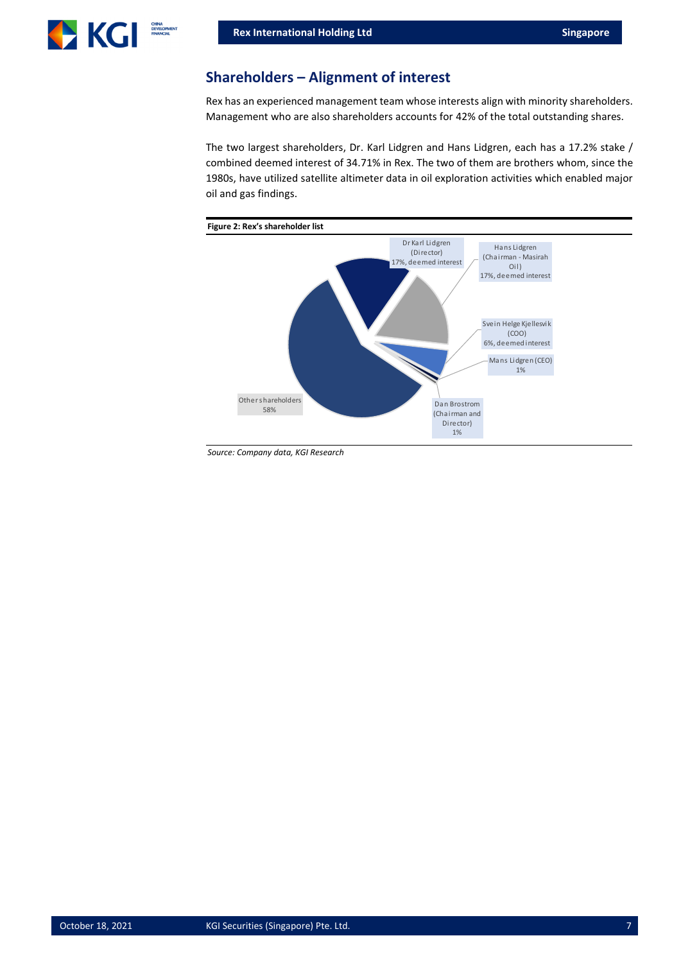

## **Shareholders – Alignment of interest**

Rex has an experienced management team whose interests align with minority shareholders. Management who are also shareholders accounts for 42% of the total outstanding shares.

The two largest shareholders, Dr. Karl Lidgren and Hans Lidgren, each has a 17.2% stake / combined deemed interest of 34.71% in Rex. The two of them are brothers whom, since the 1980s, have utilized satellite altimeter data in oil exploration activities which enabled major oil and gas findings.



*Source: Company data, KGI Research*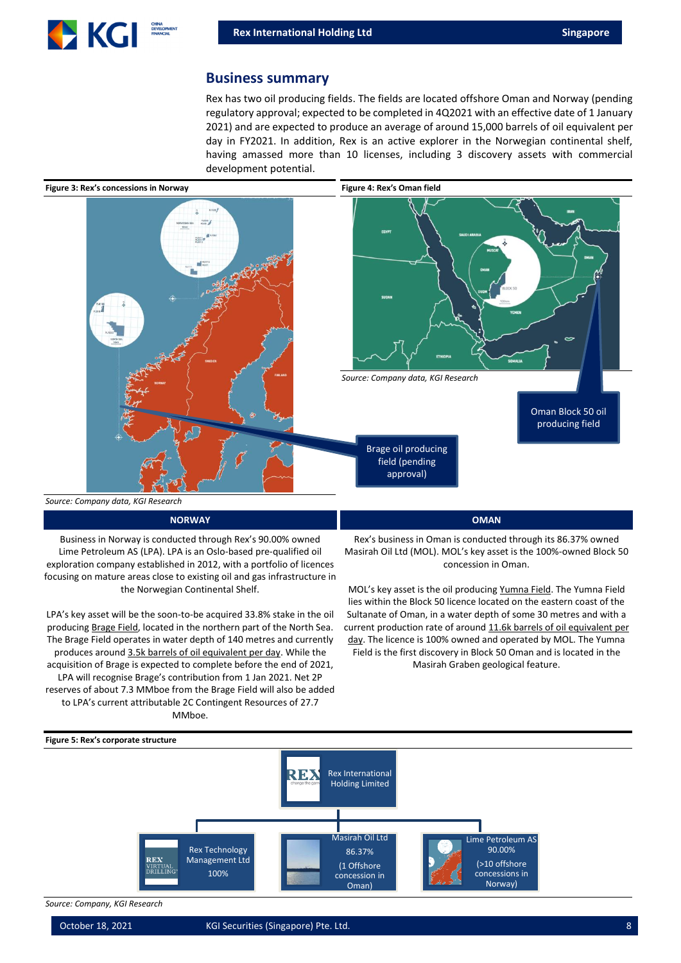

#### **Business summary**

Rex has two oil producing fields. The fields are located offshore Oman and Norway (pending regulatory approval; expected to be completed in 4Q2021 with an effective date of 1 January 2021) and are expected to produce an average of around 15,000 barrels of oil equivalent per day in FY2021. In addition, Rex is an active explorer in the Norwegian continental shelf, having amassed more than 10 licenses, including 3 discovery assets with commercial development potential.



#### **NORWAY OMAN**

Business in Norway is conducted through Rex's 90.00% owned Lime Petroleum AS (LPA). LPA is an Oslo-based pre-qualified oil exploration company established in 2012, with a portfolio of licences focusing on mature areas close to existing oil and gas infrastructure in the Norwegian Continental Shelf.

LPA's key asset will be the soon-to-be acquired 33.8% stake in the oil producing Brage Field, located in the northern part of the North Sea. The Brage Field operates in water depth of 140 metres and currently produces around 3.5k barrels of oil equivalent per day. While the acquisition of Brage is expected to complete before the end of 2021, LPA will recognise Brage's contribution from 1 Jan 2021. Net 2P reserves of about 7.3 MMboe from the Brage Field will also be added to LPA's current attributable 2C Contingent Resources of 27.7 MMboe.

Rex's business in Oman is conducted through its 86.37% owned Masirah Oil Ltd (MOL). MOL's key asset is the 100%-owned Block 50 concession in Oman.

MOL's key asset is the oil producing Yumna Field. The Yumna Field lies within the Block 50 licence located on the eastern coast of the Sultanate of Oman, in a water depth of some 30 metres and with a current production rate of around 11.6k barrels of oil equivalent per day. The licence is 100% owned and operated by MOL. The Yumna Field is the first discovery in Block 50 Oman and is located in the Masirah Graben geological feature.



*Source: Company, KGI Research*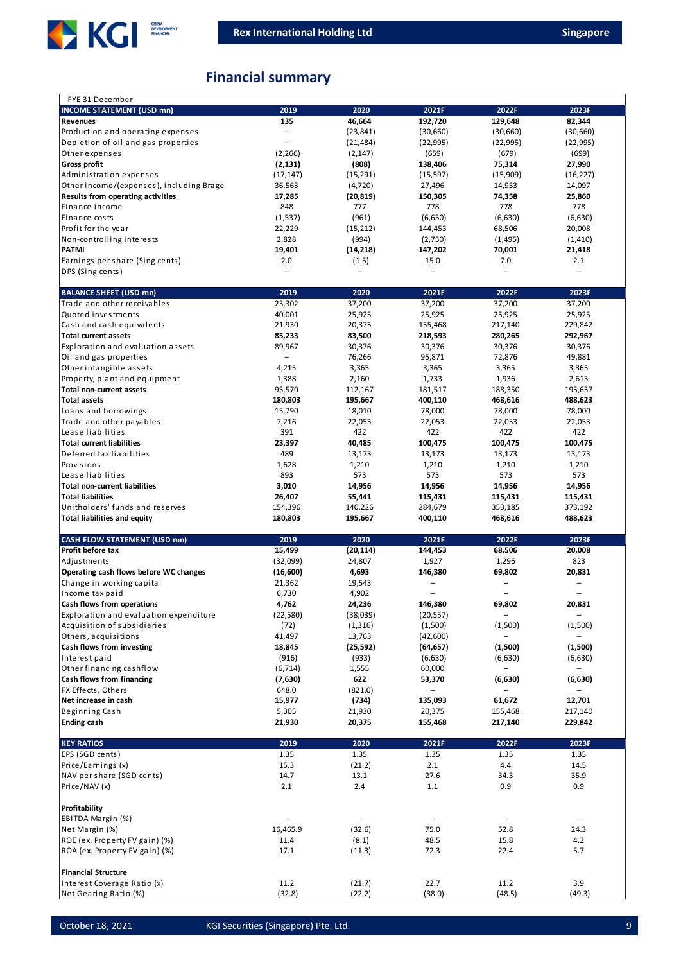

# **Financial summary**

| <b>INCOME STATEMENT (USD mn)</b><br>2019<br>2020<br>2021F<br>2022F<br>2023F<br>46,664<br>135<br>192,720<br>129,648<br>82,344<br>Revenues<br>Production and operating expenses<br>$\overline{\phantom{0}}$<br>(23, 841)<br>(30,660)<br>(30,660)<br>(30,660)<br>Depletion of oil and gas properties<br>(21, 484)<br>(22, 995)<br>(22, 995)<br>(22, 995)<br>$\overline{\phantom{0}}$<br>Other expenses<br>(2, 266)<br>(659)<br>(679)<br>(699)<br>(2, 147)<br>Gross profit<br>(808)<br>75,314<br>(2, 131)<br>138,406<br>27,990<br>Administration expenses<br>(17, 147)<br>(15, 291)<br>(15, 597)<br>(15,909)<br>(16, 227)<br>Other income/(expenses), including Brage<br>36,563<br>(4, 720)<br>27,496<br>14,953<br>14,097<br>Results from operating activities<br>17,285<br>150,305<br>74,358<br>25,860<br>(20, 819)<br>778<br>778<br>778<br>Finance income<br>848<br>777<br>Finance costs<br>(961)<br>(1,537)<br>(6,630)<br>(6,630)<br>(6,630)<br>Profit for the year<br>22,229<br>(15, 212)<br>68,506<br>20,008<br>144,453<br>Non-controlling interests<br>2,828<br>(994)<br>(2,750)<br>(1, 495)<br>(1, 410)<br><b>PATMI</b><br>19,401<br>(14, 218)<br>147,202<br>70,001<br>21,418<br>Earnings per share (Sing cents)<br>2.0<br>(1.5)<br>15.0<br>7.0<br>2.1<br>DPS (Sing cents)<br>2019<br>2020<br>2021F<br>2022F<br>2023F<br><b>BALANCE SHEET (USD mn)</b><br>Trade and other receivables<br>23,302<br>37,200<br>37,200<br>37,200<br>37,200<br>40,001<br>Quoted investments<br>25,925<br>25,925<br>25,925<br>25,925<br>Cash and cash equivalents<br>21,930<br>20,375<br>155,468<br>229,842<br>217,140<br><b>Total current assets</b><br>85,233<br>83,500<br>218,593<br>280,265<br>292,967<br>Exploration and evaluation assets<br>89,967<br>30,376<br>30,376<br>30,376<br>30,376<br>Oil and gas properties<br>76,266<br>95,871<br>72,876<br>49,881<br>$\overline{\phantom{0}}$<br>Other intangible assets<br>3,365<br>3,365<br>3,365<br>4,215<br>3,365<br>Property, plant and equipment<br>1,388<br>2,160<br>1,733<br>1,936<br>2,613<br><b>Total non-current assets</b><br>95,570<br>181,517<br>112,167<br>188,350<br>195,657<br><b>Total assets</b><br>180,803<br>195,667<br>400,110<br>468,616<br>488,623<br>Loans and borrowings<br>15,790<br>18,010<br>78,000<br>78,000<br>78,000<br>Trade and other payables<br>7,216<br>22,053<br>22,053<br>22,053<br>22,053<br>422<br>Lease liabilities<br>391<br>422<br>422<br>422<br><b>Total current liabilities</b><br>23,397<br>40,485<br>100,475<br>100,475<br>100,475<br>Deferred tax liabilities<br>489<br>13,173<br>13,173<br>13,173<br>13,173<br>Provisions<br>1,628<br>1,210<br>1,210<br>1,210<br>1,210<br>Lease liabilities<br>893<br>573<br>573<br>573<br>573<br><b>Total non-current liabilities</b><br>3,010<br>14,956<br>14,956<br>14,956<br>14,956<br><b>Total liabilities</b><br>26,407<br>115,431<br>55,441<br>115,431<br>115,431<br>Unitholders' funds and reserves<br>154,396<br>140,226<br>284,679<br>353,185<br>373,192<br><b>Total liabilities and equity</b><br>180,803<br>195,667<br>400,110<br>468,616<br>488,623<br>2019<br>2020<br><b>CASH FLOW STATEMENT (USD mn)</b><br>2021F<br>2022F<br>2023F<br>Profit before tax<br>15,499<br>(20, 114)<br>144,453<br>20,008<br>68,506<br>823<br>Adjustments<br>(32,099)<br>24,807<br>1,927<br>1,296<br>Operating cash flows before WC changes<br>(16,600)<br>4,693<br>69,802<br>146,380<br>20,831<br>Change in working capital<br>21,362<br>19,543<br>$\overline{\phantom{0}}$<br>$\overline{\phantom{0}}$<br>4,902<br>Income tax paid<br>6,730<br>$\overline{\phantom{0}}$<br>L,<br>L.<br>69,802<br>20,831<br>Cash flows from operations<br>4,762<br>24,236<br>146,380<br>Exploration and evaluation expenditure<br>(38,039)<br>$\overline{\phantom{0}}$<br>(22, 580)<br>(20, 557)<br>$\overline{\phantom{0}}$<br>Acquisition of subsidiaries<br>(72)<br>(1, 316)<br>(1,500)<br>(1,500)<br>(1,500)<br>Others, acquisitions<br>41,497<br>13,763<br>(42,600)<br>$\overline{\phantom{a}}$<br>-<br>Cash flows from investing<br>(1,500)<br>(1,500)<br>18,845<br>(25, 592)<br>(64, 657)<br>Interest paid<br>(916)<br>(933)<br>(6,630)<br>(6,630)<br>(6,630)<br>Other financing cashflow<br>(6, 714)<br>1,555<br>60,000<br>$\overline{\phantom{0}}$<br>$\overline{\phantom{0}}$<br>Cash flows from financing<br>622<br>53,370<br>(6, 630)<br>(6,630)<br>(7,630)<br>FX Effects, Others<br>648.0<br>(821.0)<br>$\overline{\phantom{0}}$<br>$\qquad \qquad -$<br>-<br>Net increase in cash<br>15,977<br>(734)<br>135,093<br>61,672<br>12,701<br>Beginning Cash<br>5,305<br>21,930<br>20,375<br>155,468<br>217,140<br><b>Ending cash</b><br>21,930<br>229,842<br>20,375<br>155,468<br>217,140<br><b>KEY RATIOS</b><br>2019<br>2020<br>2021F<br>2022F<br>2023F<br>EPS (SGD cents)<br>1.35<br>1.35<br>1.35<br>1.35<br>1.35<br>$4.4\,$<br>Price/Earnings (x)<br>15.3<br>(21.2)<br>2.1<br>14.5<br>34.3<br>NAV per share (SGD cents)<br>14.7<br>13.1<br>27.6<br>35.9<br>0.9<br>Price/NAV (x)<br>2.1<br>2.4<br>$1.1\,$<br>0.9<br>Profitability<br>EBITDA Margin (%)<br>÷,<br>$\overline{\phantom{a}}$<br>$\overline{\phantom{a}}$<br>Net Margin (%)<br>75.0<br>52.8<br>16,465.9<br>(32.6)<br>24.3<br>ROE (ex. Property FV gain) (%)<br>11.4<br>(8.1)<br>48.5<br>15.8<br>4.2<br>ROA (ex. Property FV gain) (%)<br>17.1<br>72.3<br>22.4<br>5.7<br>(11.3)<br><b>Financial Structure</b><br>3.9<br>Interest Coverage Ratio (x)<br>11.2<br>(21.7)<br>22.7<br>11.2<br>Net Gearing Ratio (%)<br>(32.8)<br>(22.2)<br>(38.0)<br>(48.5)<br>(49.3) | FYE 31 December |  |  |  |
|------------------------------------------------------------------------------------------------------------------------------------------------------------------------------------------------------------------------------------------------------------------------------------------------------------------------------------------------------------------------------------------------------------------------------------------------------------------------------------------------------------------------------------------------------------------------------------------------------------------------------------------------------------------------------------------------------------------------------------------------------------------------------------------------------------------------------------------------------------------------------------------------------------------------------------------------------------------------------------------------------------------------------------------------------------------------------------------------------------------------------------------------------------------------------------------------------------------------------------------------------------------------------------------------------------------------------------------------------------------------------------------------------------------------------------------------------------------------------------------------------------------------------------------------------------------------------------------------------------------------------------------------------------------------------------------------------------------------------------------------------------------------------------------------------------------------------------------------------------------------------------------------------------------------------------------------------------------------------------------------------------------------------------------------------------------------------------------------------------------------------------------------------------------------------------------------------------------------------------------------------------------------------------------------------------------------------------------------------------------------------------------------------------------------------------------------------------------------------------------------------------------------------------------------------------------------------------------------------------------------------------------------------------------------------------------------------------------------------------------------------------------------------------------------------------------------------------------------------------------------------------------------------------------------------------------------------------------------------------------------------------------------------------------------------------------------------------------------------------------------------------------------------------------------------------------------------------------------------------------------------------------------------------------------------------------------------------------------------------------------------------------------------------------------------------------------------------------------------------------------------------------------------------------------------------------------------------------------------------------------------------------------------------------------------------------------------------------------------------------------------------------------------------------------------------------------------------------------------------------------------------------------------------------------------------------------------------------------------------------------------------------------------------------------------------------------------------------------------------------------------------------------------------------------------------------------------------------------------------------------------------------------------------------------------------------------------------------------------------------------------------------------------------------------------------------------------------------------------------------------------------------------------------------------------------------------------------------------------------------------------------------------------------------------------------------------------------------------------------------------------------------------------------------------------------------------------------------------------------------------------------------------------------------------------------------------------------------------------------------------------------------------------------------------------------------------------------------------------------------------------------------------------------------------------------------------------------------------------------------------------------------------------------------------------------------------------------------------------------------------------------------------------------------------------------------------------------------------------------------------------------------------------------|-----------------|--|--|--|
|                                                                                                                                                                                                                                                                                                                                                                                                                                                                                                                                                                                                                                                                                                                                                                                                                                                                                                                                                                                                                                                                                                                                                                                                                                                                                                                                                                                                                                                                                                                                                                                                                                                                                                                                                                                                                                                                                                                                                                                                                                                                                                                                                                                                                                                                                                                                                                                                                                                                                                                                                                                                                                                                                                                                                                                                                                                                                                                                                                                                                                                                                                                                                                                                                                                                                                                                                                                                                                                                                                                                                                                                                                                                                                                                                                                                                                                                                                                                                                                                                                                                                                                                                                                                                                                                                                                                                                                                                                                                                                                                                                                                                                                                                                                                                                                                                                                                                                                                                                                                                                                                                                                                                                                                                                                                                                                                                                                                                                                                                                                                    |                 |  |  |  |
|                                                                                                                                                                                                                                                                                                                                                                                                                                                                                                                                                                                                                                                                                                                                                                                                                                                                                                                                                                                                                                                                                                                                                                                                                                                                                                                                                                                                                                                                                                                                                                                                                                                                                                                                                                                                                                                                                                                                                                                                                                                                                                                                                                                                                                                                                                                                                                                                                                                                                                                                                                                                                                                                                                                                                                                                                                                                                                                                                                                                                                                                                                                                                                                                                                                                                                                                                                                                                                                                                                                                                                                                                                                                                                                                                                                                                                                                                                                                                                                                                                                                                                                                                                                                                                                                                                                                                                                                                                                                                                                                                                                                                                                                                                                                                                                                                                                                                                                                                                                                                                                                                                                                                                                                                                                                                                                                                                                                                                                                                                                                    |                 |  |  |  |
|                                                                                                                                                                                                                                                                                                                                                                                                                                                                                                                                                                                                                                                                                                                                                                                                                                                                                                                                                                                                                                                                                                                                                                                                                                                                                                                                                                                                                                                                                                                                                                                                                                                                                                                                                                                                                                                                                                                                                                                                                                                                                                                                                                                                                                                                                                                                                                                                                                                                                                                                                                                                                                                                                                                                                                                                                                                                                                                                                                                                                                                                                                                                                                                                                                                                                                                                                                                                                                                                                                                                                                                                                                                                                                                                                                                                                                                                                                                                                                                                                                                                                                                                                                                                                                                                                                                                                                                                                                                                                                                                                                                                                                                                                                                                                                                                                                                                                                                                                                                                                                                                                                                                                                                                                                                                                                                                                                                                                                                                                                                                    |                 |  |  |  |
|                                                                                                                                                                                                                                                                                                                                                                                                                                                                                                                                                                                                                                                                                                                                                                                                                                                                                                                                                                                                                                                                                                                                                                                                                                                                                                                                                                                                                                                                                                                                                                                                                                                                                                                                                                                                                                                                                                                                                                                                                                                                                                                                                                                                                                                                                                                                                                                                                                                                                                                                                                                                                                                                                                                                                                                                                                                                                                                                                                                                                                                                                                                                                                                                                                                                                                                                                                                                                                                                                                                                                                                                                                                                                                                                                                                                                                                                                                                                                                                                                                                                                                                                                                                                                                                                                                                                                                                                                                                                                                                                                                                                                                                                                                                                                                                                                                                                                                                                                                                                                                                                                                                                                                                                                                                                                                                                                                                                                                                                                                                                    |                 |  |  |  |
|                                                                                                                                                                                                                                                                                                                                                                                                                                                                                                                                                                                                                                                                                                                                                                                                                                                                                                                                                                                                                                                                                                                                                                                                                                                                                                                                                                                                                                                                                                                                                                                                                                                                                                                                                                                                                                                                                                                                                                                                                                                                                                                                                                                                                                                                                                                                                                                                                                                                                                                                                                                                                                                                                                                                                                                                                                                                                                                                                                                                                                                                                                                                                                                                                                                                                                                                                                                                                                                                                                                                                                                                                                                                                                                                                                                                                                                                                                                                                                                                                                                                                                                                                                                                                                                                                                                                                                                                                                                                                                                                                                                                                                                                                                                                                                                                                                                                                                                                                                                                                                                                                                                                                                                                                                                                                                                                                                                                                                                                                                                                    |                 |  |  |  |
|                                                                                                                                                                                                                                                                                                                                                                                                                                                                                                                                                                                                                                                                                                                                                                                                                                                                                                                                                                                                                                                                                                                                                                                                                                                                                                                                                                                                                                                                                                                                                                                                                                                                                                                                                                                                                                                                                                                                                                                                                                                                                                                                                                                                                                                                                                                                                                                                                                                                                                                                                                                                                                                                                                                                                                                                                                                                                                                                                                                                                                                                                                                                                                                                                                                                                                                                                                                                                                                                                                                                                                                                                                                                                                                                                                                                                                                                                                                                                                                                                                                                                                                                                                                                                                                                                                                                                                                                                                                                                                                                                                                                                                                                                                                                                                                                                                                                                                                                                                                                                                                                                                                                                                                                                                                                                                                                                                                                                                                                                                                                    |                 |  |  |  |
|                                                                                                                                                                                                                                                                                                                                                                                                                                                                                                                                                                                                                                                                                                                                                                                                                                                                                                                                                                                                                                                                                                                                                                                                                                                                                                                                                                                                                                                                                                                                                                                                                                                                                                                                                                                                                                                                                                                                                                                                                                                                                                                                                                                                                                                                                                                                                                                                                                                                                                                                                                                                                                                                                                                                                                                                                                                                                                                                                                                                                                                                                                                                                                                                                                                                                                                                                                                                                                                                                                                                                                                                                                                                                                                                                                                                                                                                                                                                                                                                                                                                                                                                                                                                                                                                                                                                                                                                                                                                                                                                                                                                                                                                                                                                                                                                                                                                                                                                                                                                                                                                                                                                                                                                                                                                                                                                                                                                                                                                                                                                    |                 |  |  |  |
|                                                                                                                                                                                                                                                                                                                                                                                                                                                                                                                                                                                                                                                                                                                                                                                                                                                                                                                                                                                                                                                                                                                                                                                                                                                                                                                                                                                                                                                                                                                                                                                                                                                                                                                                                                                                                                                                                                                                                                                                                                                                                                                                                                                                                                                                                                                                                                                                                                                                                                                                                                                                                                                                                                                                                                                                                                                                                                                                                                                                                                                                                                                                                                                                                                                                                                                                                                                                                                                                                                                                                                                                                                                                                                                                                                                                                                                                                                                                                                                                                                                                                                                                                                                                                                                                                                                                                                                                                                                                                                                                                                                                                                                                                                                                                                                                                                                                                                                                                                                                                                                                                                                                                                                                                                                                                                                                                                                                                                                                                                                                    |                 |  |  |  |
|                                                                                                                                                                                                                                                                                                                                                                                                                                                                                                                                                                                                                                                                                                                                                                                                                                                                                                                                                                                                                                                                                                                                                                                                                                                                                                                                                                                                                                                                                                                                                                                                                                                                                                                                                                                                                                                                                                                                                                                                                                                                                                                                                                                                                                                                                                                                                                                                                                                                                                                                                                                                                                                                                                                                                                                                                                                                                                                                                                                                                                                                                                                                                                                                                                                                                                                                                                                                                                                                                                                                                                                                                                                                                                                                                                                                                                                                                                                                                                                                                                                                                                                                                                                                                                                                                                                                                                                                                                                                                                                                                                                                                                                                                                                                                                                                                                                                                                                                                                                                                                                                                                                                                                                                                                                                                                                                                                                                                                                                                                                                    |                 |  |  |  |
|                                                                                                                                                                                                                                                                                                                                                                                                                                                                                                                                                                                                                                                                                                                                                                                                                                                                                                                                                                                                                                                                                                                                                                                                                                                                                                                                                                                                                                                                                                                                                                                                                                                                                                                                                                                                                                                                                                                                                                                                                                                                                                                                                                                                                                                                                                                                                                                                                                                                                                                                                                                                                                                                                                                                                                                                                                                                                                                                                                                                                                                                                                                                                                                                                                                                                                                                                                                                                                                                                                                                                                                                                                                                                                                                                                                                                                                                                                                                                                                                                                                                                                                                                                                                                                                                                                                                                                                                                                                                                                                                                                                                                                                                                                                                                                                                                                                                                                                                                                                                                                                                                                                                                                                                                                                                                                                                                                                                                                                                                                                                    |                 |  |  |  |
|                                                                                                                                                                                                                                                                                                                                                                                                                                                                                                                                                                                                                                                                                                                                                                                                                                                                                                                                                                                                                                                                                                                                                                                                                                                                                                                                                                                                                                                                                                                                                                                                                                                                                                                                                                                                                                                                                                                                                                                                                                                                                                                                                                                                                                                                                                                                                                                                                                                                                                                                                                                                                                                                                                                                                                                                                                                                                                                                                                                                                                                                                                                                                                                                                                                                                                                                                                                                                                                                                                                                                                                                                                                                                                                                                                                                                                                                                                                                                                                                                                                                                                                                                                                                                                                                                                                                                                                                                                                                                                                                                                                                                                                                                                                                                                                                                                                                                                                                                                                                                                                                                                                                                                                                                                                                                                                                                                                                                                                                                                                                    |                 |  |  |  |
|                                                                                                                                                                                                                                                                                                                                                                                                                                                                                                                                                                                                                                                                                                                                                                                                                                                                                                                                                                                                                                                                                                                                                                                                                                                                                                                                                                                                                                                                                                                                                                                                                                                                                                                                                                                                                                                                                                                                                                                                                                                                                                                                                                                                                                                                                                                                                                                                                                                                                                                                                                                                                                                                                                                                                                                                                                                                                                                                                                                                                                                                                                                                                                                                                                                                                                                                                                                                                                                                                                                                                                                                                                                                                                                                                                                                                                                                                                                                                                                                                                                                                                                                                                                                                                                                                                                                                                                                                                                                                                                                                                                                                                                                                                                                                                                                                                                                                                                                                                                                                                                                                                                                                                                                                                                                                                                                                                                                                                                                                                                                    |                 |  |  |  |
|                                                                                                                                                                                                                                                                                                                                                                                                                                                                                                                                                                                                                                                                                                                                                                                                                                                                                                                                                                                                                                                                                                                                                                                                                                                                                                                                                                                                                                                                                                                                                                                                                                                                                                                                                                                                                                                                                                                                                                                                                                                                                                                                                                                                                                                                                                                                                                                                                                                                                                                                                                                                                                                                                                                                                                                                                                                                                                                                                                                                                                                                                                                                                                                                                                                                                                                                                                                                                                                                                                                                                                                                                                                                                                                                                                                                                                                                                                                                                                                                                                                                                                                                                                                                                                                                                                                                                                                                                                                                                                                                                                                                                                                                                                                                                                                                                                                                                                                                                                                                                                                                                                                                                                                                                                                                                                                                                                                                                                                                                                                                    |                 |  |  |  |
|                                                                                                                                                                                                                                                                                                                                                                                                                                                                                                                                                                                                                                                                                                                                                                                                                                                                                                                                                                                                                                                                                                                                                                                                                                                                                                                                                                                                                                                                                                                                                                                                                                                                                                                                                                                                                                                                                                                                                                                                                                                                                                                                                                                                                                                                                                                                                                                                                                                                                                                                                                                                                                                                                                                                                                                                                                                                                                                                                                                                                                                                                                                                                                                                                                                                                                                                                                                                                                                                                                                                                                                                                                                                                                                                                                                                                                                                                                                                                                                                                                                                                                                                                                                                                                                                                                                                                                                                                                                                                                                                                                                                                                                                                                                                                                                                                                                                                                                                                                                                                                                                                                                                                                                                                                                                                                                                                                                                                                                                                                                                    |                 |  |  |  |
|                                                                                                                                                                                                                                                                                                                                                                                                                                                                                                                                                                                                                                                                                                                                                                                                                                                                                                                                                                                                                                                                                                                                                                                                                                                                                                                                                                                                                                                                                                                                                                                                                                                                                                                                                                                                                                                                                                                                                                                                                                                                                                                                                                                                                                                                                                                                                                                                                                                                                                                                                                                                                                                                                                                                                                                                                                                                                                                                                                                                                                                                                                                                                                                                                                                                                                                                                                                                                                                                                                                                                                                                                                                                                                                                                                                                                                                                                                                                                                                                                                                                                                                                                                                                                                                                                                                                                                                                                                                                                                                                                                                                                                                                                                                                                                                                                                                                                                                                                                                                                                                                                                                                                                                                                                                                                                                                                                                                                                                                                                                                    |                 |  |  |  |
|                                                                                                                                                                                                                                                                                                                                                                                                                                                                                                                                                                                                                                                                                                                                                                                                                                                                                                                                                                                                                                                                                                                                                                                                                                                                                                                                                                                                                                                                                                                                                                                                                                                                                                                                                                                                                                                                                                                                                                                                                                                                                                                                                                                                                                                                                                                                                                                                                                                                                                                                                                                                                                                                                                                                                                                                                                                                                                                                                                                                                                                                                                                                                                                                                                                                                                                                                                                                                                                                                                                                                                                                                                                                                                                                                                                                                                                                                                                                                                                                                                                                                                                                                                                                                                                                                                                                                                                                                                                                                                                                                                                                                                                                                                                                                                                                                                                                                                                                                                                                                                                                                                                                                                                                                                                                                                                                                                                                                                                                                                                                    |                 |  |  |  |
|                                                                                                                                                                                                                                                                                                                                                                                                                                                                                                                                                                                                                                                                                                                                                                                                                                                                                                                                                                                                                                                                                                                                                                                                                                                                                                                                                                                                                                                                                                                                                                                                                                                                                                                                                                                                                                                                                                                                                                                                                                                                                                                                                                                                                                                                                                                                                                                                                                                                                                                                                                                                                                                                                                                                                                                                                                                                                                                                                                                                                                                                                                                                                                                                                                                                                                                                                                                                                                                                                                                                                                                                                                                                                                                                                                                                                                                                                                                                                                                                                                                                                                                                                                                                                                                                                                                                                                                                                                                                                                                                                                                                                                                                                                                                                                                                                                                                                                                                                                                                                                                                                                                                                                                                                                                                                                                                                                                                                                                                                                                                    |                 |  |  |  |
|                                                                                                                                                                                                                                                                                                                                                                                                                                                                                                                                                                                                                                                                                                                                                                                                                                                                                                                                                                                                                                                                                                                                                                                                                                                                                                                                                                                                                                                                                                                                                                                                                                                                                                                                                                                                                                                                                                                                                                                                                                                                                                                                                                                                                                                                                                                                                                                                                                                                                                                                                                                                                                                                                                                                                                                                                                                                                                                                                                                                                                                                                                                                                                                                                                                                                                                                                                                                                                                                                                                                                                                                                                                                                                                                                                                                                                                                                                                                                                                                                                                                                                                                                                                                                                                                                                                                                                                                                                                                                                                                                                                                                                                                                                                                                                                                                                                                                                                                                                                                                                                                                                                                                                                                                                                                                                                                                                                                                                                                                                                                    |                 |  |  |  |
|                                                                                                                                                                                                                                                                                                                                                                                                                                                                                                                                                                                                                                                                                                                                                                                                                                                                                                                                                                                                                                                                                                                                                                                                                                                                                                                                                                                                                                                                                                                                                                                                                                                                                                                                                                                                                                                                                                                                                                                                                                                                                                                                                                                                                                                                                                                                                                                                                                                                                                                                                                                                                                                                                                                                                                                                                                                                                                                                                                                                                                                                                                                                                                                                                                                                                                                                                                                                                                                                                                                                                                                                                                                                                                                                                                                                                                                                                                                                                                                                                                                                                                                                                                                                                                                                                                                                                                                                                                                                                                                                                                                                                                                                                                                                                                                                                                                                                                                                                                                                                                                                                                                                                                                                                                                                                                                                                                                                                                                                                                                                    |                 |  |  |  |
|                                                                                                                                                                                                                                                                                                                                                                                                                                                                                                                                                                                                                                                                                                                                                                                                                                                                                                                                                                                                                                                                                                                                                                                                                                                                                                                                                                                                                                                                                                                                                                                                                                                                                                                                                                                                                                                                                                                                                                                                                                                                                                                                                                                                                                                                                                                                                                                                                                                                                                                                                                                                                                                                                                                                                                                                                                                                                                                                                                                                                                                                                                                                                                                                                                                                                                                                                                                                                                                                                                                                                                                                                                                                                                                                                                                                                                                                                                                                                                                                                                                                                                                                                                                                                                                                                                                                                                                                                                                                                                                                                                                                                                                                                                                                                                                                                                                                                                                                                                                                                                                                                                                                                                                                                                                                                                                                                                                                                                                                                                                                    |                 |  |  |  |
|                                                                                                                                                                                                                                                                                                                                                                                                                                                                                                                                                                                                                                                                                                                                                                                                                                                                                                                                                                                                                                                                                                                                                                                                                                                                                                                                                                                                                                                                                                                                                                                                                                                                                                                                                                                                                                                                                                                                                                                                                                                                                                                                                                                                                                                                                                                                                                                                                                                                                                                                                                                                                                                                                                                                                                                                                                                                                                                                                                                                                                                                                                                                                                                                                                                                                                                                                                                                                                                                                                                                                                                                                                                                                                                                                                                                                                                                                                                                                                                                                                                                                                                                                                                                                                                                                                                                                                                                                                                                                                                                                                                                                                                                                                                                                                                                                                                                                                                                                                                                                                                                                                                                                                                                                                                                                                                                                                                                                                                                                                                                    |                 |  |  |  |
|                                                                                                                                                                                                                                                                                                                                                                                                                                                                                                                                                                                                                                                                                                                                                                                                                                                                                                                                                                                                                                                                                                                                                                                                                                                                                                                                                                                                                                                                                                                                                                                                                                                                                                                                                                                                                                                                                                                                                                                                                                                                                                                                                                                                                                                                                                                                                                                                                                                                                                                                                                                                                                                                                                                                                                                                                                                                                                                                                                                                                                                                                                                                                                                                                                                                                                                                                                                                                                                                                                                                                                                                                                                                                                                                                                                                                                                                                                                                                                                                                                                                                                                                                                                                                                                                                                                                                                                                                                                                                                                                                                                                                                                                                                                                                                                                                                                                                                                                                                                                                                                                                                                                                                                                                                                                                                                                                                                                                                                                                                                                    |                 |  |  |  |
|                                                                                                                                                                                                                                                                                                                                                                                                                                                                                                                                                                                                                                                                                                                                                                                                                                                                                                                                                                                                                                                                                                                                                                                                                                                                                                                                                                                                                                                                                                                                                                                                                                                                                                                                                                                                                                                                                                                                                                                                                                                                                                                                                                                                                                                                                                                                                                                                                                                                                                                                                                                                                                                                                                                                                                                                                                                                                                                                                                                                                                                                                                                                                                                                                                                                                                                                                                                                                                                                                                                                                                                                                                                                                                                                                                                                                                                                                                                                                                                                                                                                                                                                                                                                                                                                                                                                                                                                                                                                                                                                                                                                                                                                                                                                                                                                                                                                                                                                                                                                                                                                                                                                                                                                                                                                                                                                                                                                                                                                                                                                    |                 |  |  |  |
|                                                                                                                                                                                                                                                                                                                                                                                                                                                                                                                                                                                                                                                                                                                                                                                                                                                                                                                                                                                                                                                                                                                                                                                                                                                                                                                                                                                                                                                                                                                                                                                                                                                                                                                                                                                                                                                                                                                                                                                                                                                                                                                                                                                                                                                                                                                                                                                                                                                                                                                                                                                                                                                                                                                                                                                                                                                                                                                                                                                                                                                                                                                                                                                                                                                                                                                                                                                                                                                                                                                                                                                                                                                                                                                                                                                                                                                                                                                                                                                                                                                                                                                                                                                                                                                                                                                                                                                                                                                                                                                                                                                                                                                                                                                                                                                                                                                                                                                                                                                                                                                                                                                                                                                                                                                                                                                                                                                                                                                                                                                                    |                 |  |  |  |
|                                                                                                                                                                                                                                                                                                                                                                                                                                                                                                                                                                                                                                                                                                                                                                                                                                                                                                                                                                                                                                                                                                                                                                                                                                                                                                                                                                                                                                                                                                                                                                                                                                                                                                                                                                                                                                                                                                                                                                                                                                                                                                                                                                                                                                                                                                                                                                                                                                                                                                                                                                                                                                                                                                                                                                                                                                                                                                                                                                                                                                                                                                                                                                                                                                                                                                                                                                                                                                                                                                                                                                                                                                                                                                                                                                                                                                                                                                                                                                                                                                                                                                                                                                                                                                                                                                                                                                                                                                                                                                                                                                                                                                                                                                                                                                                                                                                                                                                                                                                                                                                                                                                                                                                                                                                                                                                                                                                                                                                                                                                                    |                 |  |  |  |
|                                                                                                                                                                                                                                                                                                                                                                                                                                                                                                                                                                                                                                                                                                                                                                                                                                                                                                                                                                                                                                                                                                                                                                                                                                                                                                                                                                                                                                                                                                                                                                                                                                                                                                                                                                                                                                                                                                                                                                                                                                                                                                                                                                                                                                                                                                                                                                                                                                                                                                                                                                                                                                                                                                                                                                                                                                                                                                                                                                                                                                                                                                                                                                                                                                                                                                                                                                                                                                                                                                                                                                                                                                                                                                                                                                                                                                                                                                                                                                                                                                                                                                                                                                                                                                                                                                                                                                                                                                                                                                                                                                                                                                                                                                                                                                                                                                                                                                                                                                                                                                                                                                                                                                                                                                                                                                                                                                                                                                                                                                                                    |                 |  |  |  |
|                                                                                                                                                                                                                                                                                                                                                                                                                                                                                                                                                                                                                                                                                                                                                                                                                                                                                                                                                                                                                                                                                                                                                                                                                                                                                                                                                                                                                                                                                                                                                                                                                                                                                                                                                                                                                                                                                                                                                                                                                                                                                                                                                                                                                                                                                                                                                                                                                                                                                                                                                                                                                                                                                                                                                                                                                                                                                                                                                                                                                                                                                                                                                                                                                                                                                                                                                                                                                                                                                                                                                                                                                                                                                                                                                                                                                                                                                                                                                                                                                                                                                                                                                                                                                                                                                                                                                                                                                                                                                                                                                                                                                                                                                                                                                                                                                                                                                                                                                                                                                                                                                                                                                                                                                                                                                                                                                                                                                                                                                                                                    |                 |  |  |  |
|                                                                                                                                                                                                                                                                                                                                                                                                                                                                                                                                                                                                                                                                                                                                                                                                                                                                                                                                                                                                                                                                                                                                                                                                                                                                                                                                                                                                                                                                                                                                                                                                                                                                                                                                                                                                                                                                                                                                                                                                                                                                                                                                                                                                                                                                                                                                                                                                                                                                                                                                                                                                                                                                                                                                                                                                                                                                                                                                                                                                                                                                                                                                                                                                                                                                                                                                                                                                                                                                                                                                                                                                                                                                                                                                                                                                                                                                                                                                                                                                                                                                                                                                                                                                                                                                                                                                                                                                                                                                                                                                                                                                                                                                                                                                                                                                                                                                                                                                                                                                                                                                                                                                                                                                                                                                                                                                                                                                                                                                                                                                    |                 |  |  |  |
|                                                                                                                                                                                                                                                                                                                                                                                                                                                                                                                                                                                                                                                                                                                                                                                                                                                                                                                                                                                                                                                                                                                                                                                                                                                                                                                                                                                                                                                                                                                                                                                                                                                                                                                                                                                                                                                                                                                                                                                                                                                                                                                                                                                                                                                                                                                                                                                                                                                                                                                                                                                                                                                                                                                                                                                                                                                                                                                                                                                                                                                                                                                                                                                                                                                                                                                                                                                                                                                                                                                                                                                                                                                                                                                                                                                                                                                                                                                                                                                                                                                                                                                                                                                                                                                                                                                                                                                                                                                                                                                                                                                                                                                                                                                                                                                                                                                                                                                                                                                                                                                                                                                                                                                                                                                                                                                                                                                                                                                                                                                                    |                 |  |  |  |
|                                                                                                                                                                                                                                                                                                                                                                                                                                                                                                                                                                                                                                                                                                                                                                                                                                                                                                                                                                                                                                                                                                                                                                                                                                                                                                                                                                                                                                                                                                                                                                                                                                                                                                                                                                                                                                                                                                                                                                                                                                                                                                                                                                                                                                                                                                                                                                                                                                                                                                                                                                                                                                                                                                                                                                                                                                                                                                                                                                                                                                                                                                                                                                                                                                                                                                                                                                                                                                                                                                                                                                                                                                                                                                                                                                                                                                                                                                                                                                                                                                                                                                                                                                                                                                                                                                                                                                                                                                                                                                                                                                                                                                                                                                                                                                                                                                                                                                                                                                                                                                                                                                                                                                                                                                                                                                                                                                                                                                                                                                                                    |                 |  |  |  |
|                                                                                                                                                                                                                                                                                                                                                                                                                                                                                                                                                                                                                                                                                                                                                                                                                                                                                                                                                                                                                                                                                                                                                                                                                                                                                                                                                                                                                                                                                                                                                                                                                                                                                                                                                                                                                                                                                                                                                                                                                                                                                                                                                                                                                                                                                                                                                                                                                                                                                                                                                                                                                                                                                                                                                                                                                                                                                                                                                                                                                                                                                                                                                                                                                                                                                                                                                                                                                                                                                                                                                                                                                                                                                                                                                                                                                                                                                                                                                                                                                                                                                                                                                                                                                                                                                                                                                                                                                                                                                                                                                                                                                                                                                                                                                                                                                                                                                                                                                                                                                                                                                                                                                                                                                                                                                                                                                                                                                                                                                                                                    |                 |  |  |  |
|                                                                                                                                                                                                                                                                                                                                                                                                                                                                                                                                                                                                                                                                                                                                                                                                                                                                                                                                                                                                                                                                                                                                                                                                                                                                                                                                                                                                                                                                                                                                                                                                                                                                                                                                                                                                                                                                                                                                                                                                                                                                                                                                                                                                                                                                                                                                                                                                                                                                                                                                                                                                                                                                                                                                                                                                                                                                                                                                                                                                                                                                                                                                                                                                                                                                                                                                                                                                                                                                                                                                                                                                                                                                                                                                                                                                                                                                                                                                                                                                                                                                                                                                                                                                                                                                                                                                                                                                                                                                                                                                                                                                                                                                                                                                                                                                                                                                                                                                                                                                                                                                                                                                                                                                                                                                                                                                                                                                                                                                                                                                    |                 |  |  |  |
|                                                                                                                                                                                                                                                                                                                                                                                                                                                                                                                                                                                                                                                                                                                                                                                                                                                                                                                                                                                                                                                                                                                                                                                                                                                                                                                                                                                                                                                                                                                                                                                                                                                                                                                                                                                                                                                                                                                                                                                                                                                                                                                                                                                                                                                                                                                                                                                                                                                                                                                                                                                                                                                                                                                                                                                                                                                                                                                                                                                                                                                                                                                                                                                                                                                                                                                                                                                                                                                                                                                                                                                                                                                                                                                                                                                                                                                                                                                                                                                                                                                                                                                                                                                                                                                                                                                                                                                                                                                                                                                                                                                                                                                                                                                                                                                                                                                                                                                                                                                                                                                                                                                                                                                                                                                                                                                                                                                                                                                                                                                                    |                 |  |  |  |
|                                                                                                                                                                                                                                                                                                                                                                                                                                                                                                                                                                                                                                                                                                                                                                                                                                                                                                                                                                                                                                                                                                                                                                                                                                                                                                                                                                                                                                                                                                                                                                                                                                                                                                                                                                                                                                                                                                                                                                                                                                                                                                                                                                                                                                                                                                                                                                                                                                                                                                                                                                                                                                                                                                                                                                                                                                                                                                                                                                                                                                                                                                                                                                                                                                                                                                                                                                                                                                                                                                                                                                                                                                                                                                                                                                                                                                                                                                                                                                                                                                                                                                                                                                                                                                                                                                                                                                                                                                                                                                                                                                                                                                                                                                                                                                                                                                                                                                                                                                                                                                                                                                                                                                                                                                                                                                                                                                                                                                                                                                                                    |                 |  |  |  |
|                                                                                                                                                                                                                                                                                                                                                                                                                                                                                                                                                                                                                                                                                                                                                                                                                                                                                                                                                                                                                                                                                                                                                                                                                                                                                                                                                                                                                                                                                                                                                                                                                                                                                                                                                                                                                                                                                                                                                                                                                                                                                                                                                                                                                                                                                                                                                                                                                                                                                                                                                                                                                                                                                                                                                                                                                                                                                                                                                                                                                                                                                                                                                                                                                                                                                                                                                                                                                                                                                                                                                                                                                                                                                                                                                                                                                                                                                                                                                                                                                                                                                                                                                                                                                                                                                                                                                                                                                                                                                                                                                                                                                                                                                                                                                                                                                                                                                                                                                                                                                                                                                                                                                                                                                                                                                                                                                                                                                                                                                                                                    |                 |  |  |  |
|                                                                                                                                                                                                                                                                                                                                                                                                                                                                                                                                                                                                                                                                                                                                                                                                                                                                                                                                                                                                                                                                                                                                                                                                                                                                                                                                                                                                                                                                                                                                                                                                                                                                                                                                                                                                                                                                                                                                                                                                                                                                                                                                                                                                                                                                                                                                                                                                                                                                                                                                                                                                                                                                                                                                                                                                                                                                                                                                                                                                                                                                                                                                                                                                                                                                                                                                                                                                                                                                                                                                                                                                                                                                                                                                                                                                                                                                                                                                                                                                                                                                                                                                                                                                                                                                                                                                                                                                                                                                                                                                                                                                                                                                                                                                                                                                                                                                                                                                                                                                                                                                                                                                                                                                                                                                                                                                                                                                                                                                                                                                    |                 |  |  |  |
|                                                                                                                                                                                                                                                                                                                                                                                                                                                                                                                                                                                                                                                                                                                                                                                                                                                                                                                                                                                                                                                                                                                                                                                                                                                                                                                                                                                                                                                                                                                                                                                                                                                                                                                                                                                                                                                                                                                                                                                                                                                                                                                                                                                                                                                                                                                                                                                                                                                                                                                                                                                                                                                                                                                                                                                                                                                                                                                                                                                                                                                                                                                                                                                                                                                                                                                                                                                                                                                                                                                                                                                                                                                                                                                                                                                                                                                                                                                                                                                                                                                                                                                                                                                                                                                                                                                                                                                                                                                                                                                                                                                                                                                                                                                                                                                                                                                                                                                                                                                                                                                                                                                                                                                                                                                                                                                                                                                                                                                                                                                                    |                 |  |  |  |
|                                                                                                                                                                                                                                                                                                                                                                                                                                                                                                                                                                                                                                                                                                                                                                                                                                                                                                                                                                                                                                                                                                                                                                                                                                                                                                                                                                                                                                                                                                                                                                                                                                                                                                                                                                                                                                                                                                                                                                                                                                                                                                                                                                                                                                                                                                                                                                                                                                                                                                                                                                                                                                                                                                                                                                                                                                                                                                                                                                                                                                                                                                                                                                                                                                                                                                                                                                                                                                                                                                                                                                                                                                                                                                                                                                                                                                                                                                                                                                                                                                                                                                                                                                                                                                                                                                                                                                                                                                                                                                                                                                                                                                                                                                                                                                                                                                                                                                                                                                                                                                                                                                                                                                                                                                                                                                                                                                                                                                                                                                                                    |                 |  |  |  |
|                                                                                                                                                                                                                                                                                                                                                                                                                                                                                                                                                                                                                                                                                                                                                                                                                                                                                                                                                                                                                                                                                                                                                                                                                                                                                                                                                                                                                                                                                                                                                                                                                                                                                                                                                                                                                                                                                                                                                                                                                                                                                                                                                                                                                                                                                                                                                                                                                                                                                                                                                                                                                                                                                                                                                                                                                                                                                                                                                                                                                                                                                                                                                                                                                                                                                                                                                                                                                                                                                                                                                                                                                                                                                                                                                                                                                                                                                                                                                                                                                                                                                                                                                                                                                                                                                                                                                                                                                                                                                                                                                                                                                                                                                                                                                                                                                                                                                                                                                                                                                                                                                                                                                                                                                                                                                                                                                                                                                                                                                                                                    |                 |  |  |  |
|                                                                                                                                                                                                                                                                                                                                                                                                                                                                                                                                                                                                                                                                                                                                                                                                                                                                                                                                                                                                                                                                                                                                                                                                                                                                                                                                                                                                                                                                                                                                                                                                                                                                                                                                                                                                                                                                                                                                                                                                                                                                                                                                                                                                                                                                                                                                                                                                                                                                                                                                                                                                                                                                                                                                                                                                                                                                                                                                                                                                                                                                                                                                                                                                                                                                                                                                                                                                                                                                                                                                                                                                                                                                                                                                                                                                                                                                                                                                                                                                                                                                                                                                                                                                                                                                                                                                                                                                                                                                                                                                                                                                                                                                                                                                                                                                                                                                                                                                                                                                                                                                                                                                                                                                                                                                                                                                                                                                                                                                                                                                    |                 |  |  |  |
|                                                                                                                                                                                                                                                                                                                                                                                                                                                                                                                                                                                                                                                                                                                                                                                                                                                                                                                                                                                                                                                                                                                                                                                                                                                                                                                                                                                                                                                                                                                                                                                                                                                                                                                                                                                                                                                                                                                                                                                                                                                                                                                                                                                                                                                                                                                                                                                                                                                                                                                                                                                                                                                                                                                                                                                                                                                                                                                                                                                                                                                                                                                                                                                                                                                                                                                                                                                                                                                                                                                                                                                                                                                                                                                                                                                                                                                                                                                                                                                                                                                                                                                                                                                                                                                                                                                                                                                                                                                                                                                                                                                                                                                                                                                                                                                                                                                                                                                                                                                                                                                                                                                                                                                                                                                                                                                                                                                                                                                                                                                                    |                 |  |  |  |
|                                                                                                                                                                                                                                                                                                                                                                                                                                                                                                                                                                                                                                                                                                                                                                                                                                                                                                                                                                                                                                                                                                                                                                                                                                                                                                                                                                                                                                                                                                                                                                                                                                                                                                                                                                                                                                                                                                                                                                                                                                                                                                                                                                                                                                                                                                                                                                                                                                                                                                                                                                                                                                                                                                                                                                                                                                                                                                                                                                                                                                                                                                                                                                                                                                                                                                                                                                                                                                                                                                                                                                                                                                                                                                                                                                                                                                                                                                                                                                                                                                                                                                                                                                                                                                                                                                                                                                                                                                                                                                                                                                                                                                                                                                                                                                                                                                                                                                                                                                                                                                                                                                                                                                                                                                                                                                                                                                                                                                                                                                                                    |                 |  |  |  |
|                                                                                                                                                                                                                                                                                                                                                                                                                                                                                                                                                                                                                                                                                                                                                                                                                                                                                                                                                                                                                                                                                                                                                                                                                                                                                                                                                                                                                                                                                                                                                                                                                                                                                                                                                                                                                                                                                                                                                                                                                                                                                                                                                                                                                                                                                                                                                                                                                                                                                                                                                                                                                                                                                                                                                                                                                                                                                                                                                                                                                                                                                                                                                                                                                                                                                                                                                                                                                                                                                                                                                                                                                                                                                                                                                                                                                                                                                                                                                                                                                                                                                                                                                                                                                                                                                                                                                                                                                                                                                                                                                                                                                                                                                                                                                                                                                                                                                                                                                                                                                                                                                                                                                                                                                                                                                                                                                                                                                                                                                                                                    |                 |  |  |  |
|                                                                                                                                                                                                                                                                                                                                                                                                                                                                                                                                                                                                                                                                                                                                                                                                                                                                                                                                                                                                                                                                                                                                                                                                                                                                                                                                                                                                                                                                                                                                                                                                                                                                                                                                                                                                                                                                                                                                                                                                                                                                                                                                                                                                                                                                                                                                                                                                                                                                                                                                                                                                                                                                                                                                                                                                                                                                                                                                                                                                                                                                                                                                                                                                                                                                                                                                                                                                                                                                                                                                                                                                                                                                                                                                                                                                                                                                                                                                                                                                                                                                                                                                                                                                                                                                                                                                                                                                                                                                                                                                                                                                                                                                                                                                                                                                                                                                                                                                                                                                                                                                                                                                                                                                                                                                                                                                                                                                                                                                                                                                    |                 |  |  |  |
|                                                                                                                                                                                                                                                                                                                                                                                                                                                                                                                                                                                                                                                                                                                                                                                                                                                                                                                                                                                                                                                                                                                                                                                                                                                                                                                                                                                                                                                                                                                                                                                                                                                                                                                                                                                                                                                                                                                                                                                                                                                                                                                                                                                                                                                                                                                                                                                                                                                                                                                                                                                                                                                                                                                                                                                                                                                                                                                                                                                                                                                                                                                                                                                                                                                                                                                                                                                                                                                                                                                                                                                                                                                                                                                                                                                                                                                                                                                                                                                                                                                                                                                                                                                                                                                                                                                                                                                                                                                                                                                                                                                                                                                                                                                                                                                                                                                                                                                                                                                                                                                                                                                                                                                                                                                                                                                                                                                                                                                                                                                                    |                 |  |  |  |
|                                                                                                                                                                                                                                                                                                                                                                                                                                                                                                                                                                                                                                                                                                                                                                                                                                                                                                                                                                                                                                                                                                                                                                                                                                                                                                                                                                                                                                                                                                                                                                                                                                                                                                                                                                                                                                                                                                                                                                                                                                                                                                                                                                                                                                                                                                                                                                                                                                                                                                                                                                                                                                                                                                                                                                                                                                                                                                                                                                                                                                                                                                                                                                                                                                                                                                                                                                                                                                                                                                                                                                                                                                                                                                                                                                                                                                                                                                                                                                                                                                                                                                                                                                                                                                                                                                                                                                                                                                                                                                                                                                                                                                                                                                                                                                                                                                                                                                                                                                                                                                                                                                                                                                                                                                                                                                                                                                                                                                                                                                                                    |                 |  |  |  |
|                                                                                                                                                                                                                                                                                                                                                                                                                                                                                                                                                                                                                                                                                                                                                                                                                                                                                                                                                                                                                                                                                                                                                                                                                                                                                                                                                                                                                                                                                                                                                                                                                                                                                                                                                                                                                                                                                                                                                                                                                                                                                                                                                                                                                                                                                                                                                                                                                                                                                                                                                                                                                                                                                                                                                                                                                                                                                                                                                                                                                                                                                                                                                                                                                                                                                                                                                                                                                                                                                                                                                                                                                                                                                                                                                                                                                                                                                                                                                                                                                                                                                                                                                                                                                                                                                                                                                                                                                                                                                                                                                                                                                                                                                                                                                                                                                                                                                                                                                                                                                                                                                                                                                                                                                                                                                                                                                                                                                                                                                                                                    |                 |  |  |  |
|                                                                                                                                                                                                                                                                                                                                                                                                                                                                                                                                                                                                                                                                                                                                                                                                                                                                                                                                                                                                                                                                                                                                                                                                                                                                                                                                                                                                                                                                                                                                                                                                                                                                                                                                                                                                                                                                                                                                                                                                                                                                                                                                                                                                                                                                                                                                                                                                                                                                                                                                                                                                                                                                                                                                                                                                                                                                                                                                                                                                                                                                                                                                                                                                                                                                                                                                                                                                                                                                                                                                                                                                                                                                                                                                                                                                                                                                                                                                                                                                                                                                                                                                                                                                                                                                                                                                                                                                                                                                                                                                                                                                                                                                                                                                                                                                                                                                                                                                                                                                                                                                                                                                                                                                                                                                                                                                                                                                                                                                                                                                    |                 |  |  |  |
|                                                                                                                                                                                                                                                                                                                                                                                                                                                                                                                                                                                                                                                                                                                                                                                                                                                                                                                                                                                                                                                                                                                                                                                                                                                                                                                                                                                                                                                                                                                                                                                                                                                                                                                                                                                                                                                                                                                                                                                                                                                                                                                                                                                                                                                                                                                                                                                                                                                                                                                                                                                                                                                                                                                                                                                                                                                                                                                                                                                                                                                                                                                                                                                                                                                                                                                                                                                                                                                                                                                                                                                                                                                                                                                                                                                                                                                                                                                                                                                                                                                                                                                                                                                                                                                                                                                                                                                                                                                                                                                                                                                                                                                                                                                                                                                                                                                                                                                                                                                                                                                                                                                                                                                                                                                                                                                                                                                                                                                                                                                                    |                 |  |  |  |
|                                                                                                                                                                                                                                                                                                                                                                                                                                                                                                                                                                                                                                                                                                                                                                                                                                                                                                                                                                                                                                                                                                                                                                                                                                                                                                                                                                                                                                                                                                                                                                                                                                                                                                                                                                                                                                                                                                                                                                                                                                                                                                                                                                                                                                                                                                                                                                                                                                                                                                                                                                                                                                                                                                                                                                                                                                                                                                                                                                                                                                                                                                                                                                                                                                                                                                                                                                                                                                                                                                                                                                                                                                                                                                                                                                                                                                                                                                                                                                                                                                                                                                                                                                                                                                                                                                                                                                                                                                                                                                                                                                                                                                                                                                                                                                                                                                                                                                                                                                                                                                                                                                                                                                                                                                                                                                                                                                                                                                                                                                                                    |                 |  |  |  |
|                                                                                                                                                                                                                                                                                                                                                                                                                                                                                                                                                                                                                                                                                                                                                                                                                                                                                                                                                                                                                                                                                                                                                                                                                                                                                                                                                                                                                                                                                                                                                                                                                                                                                                                                                                                                                                                                                                                                                                                                                                                                                                                                                                                                                                                                                                                                                                                                                                                                                                                                                                                                                                                                                                                                                                                                                                                                                                                                                                                                                                                                                                                                                                                                                                                                                                                                                                                                                                                                                                                                                                                                                                                                                                                                                                                                                                                                                                                                                                                                                                                                                                                                                                                                                                                                                                                                                                                                                                                                                                                                                                                                                                                                                                                                                                                                                                                                                                                                                                                                                                                                                                                                                                                                                                                                                                                                                                                                                                                                                                                                    |                 |  |  |  |
|                                                                                                                                                                                                                                                                                                                                                                                                                                                                                                                                                                                                                                                                                                                                                                                                                                                                                                                                                                                                                                                                                                                                                                                                                                                                                                                                                                                                                                                                                                                                                                                                                                                                                                                                                                                                                                                                                                                                                                                                                                                                                                                                                                                                                                                                                                                                                                                                                                                                                                                                                                                                                                                                                                                                                                                                                                                                                                                                                                                                                                                                                                                                                                                                                                                                                                                                                                                                                                                                                                                                                                                                                                                                                                                                                                                                                                                                                                                                                                                                                                                                                                                                                                                                                                                                                                                                                                                                                                                                                                                                                                                                                                                                                                                                                                                                                                                                                                                                                                                                                                                                                                                                                                                                                                                                                                                                                                                                                                                                                                                                    |                 |  |  |  |
|                                                                                                                                                                                                                                                                                                                                                                                                                                                                                                                                                                                                                                                                                                                                                                                                                                                                                                                                                                                                                                                                                                                                                                                                                                                                                                                                                                                                                                                                                                                                                                                                                                                                                                                                                                                                                                                                                                                                                                                                                                                                                                                                                                                                                                                                                                                                                                                                                                                                                                                                                                                                                                                                                                                                                                                                                                                                                                                                                                                                                                                                                                                                                                                                                                                                                                                                                                                                                                                                                                                                                                                                                                                                                                                                                                                                                                                                                                                                                                                                                                                                                                                                                                                                                                                                                                                                                                                                                                                                                                                                                                                                                                                                                                                                                                                                                                                                                                                                                                                                                                                                                                                                                                                                                                                                                                                                                                                                                                                                                                                                    |                 |  |  |  |
|                                                                                                                                                                                                                                                                                                                                                                                                                                                                                                                                                                                                                                                                                                                                                                                                                                                                                                                                                                                                                                                                                                                                                                                                                                                                                                                                                                                                                                                                                                                                                                                                                                                                                                                                                                                                                                                                                                                                                                                                                                                                                                                                                                                                                                                                                                                                                                                                                                                                                                                                                                                                                                                                                                                                                                                                                                                                                                                                                                                                                                                                                                                                                                                                                                                                                                                                                                                                                                                                                                                                                                                                                                                                                                                                                                                                                                                                                                                                                                                                                                                                                                                                                                                                                                                                                                                                                                                                                                                                                                                                                                                                                                                                                                                                                                                                                                                                                                                                                                                                                                                                                                                                                                                                                                                                                                                                                                                                                                                                                                                                    |                 |  |  |  |
|                                                                                                                                                                                                                                                                                                                                                                                                                                                                                                                                                                                                                                                                                                                                                                                                                                                                                                                                                                                                                                                                                                                                                                                                                                                                                                                                                                                                                                                                                                                                                                                                                                                                                                                                                                                                                                                                                                                                                                                                                                                                                                                                                                                                                                                                                                                                                                                                                                                                                                                                                                                                                                                                                                                                                                                                                                                                                                                                                                                                                                                                                                                                                                                                                                                                                                                                                                                                                                                                                                                                                                                                                                                                                                                                                                                                                                                                                                                                                                                                                                                                                                                                                                                                                                                                                                                                                                                                                                                                                                                                                                                                                                                                                                                                                                                                                                                                                                                                                                                                                                                                                                                                                                                                                                                                                                                                                                                                                                                                                                                                    |                 |  |  |  |
|                                                                                                                                                                                                                                                                                                                                                                                                                                                                                                                                                                                                                                                                                                                                                                                                                                                                                                                                                                                                                                                                                                                                                                                                                                                                                                                                                                                                                                                                                                                                                                                                                                                                                                                                                                                                                                                                                                                                                                                                                                                                                                                                                                                                                                                                                                                                                                                                                                                                                                                                                                                                                                                                                                                                                                                                                                                                                                                                                                                                                                                                                                                                                                                                                                                                                                                                                                                                                                                                                                                                                                                                                                                                                                                                                                                                                                                                                                                                                                                                                                                                                                                                                                                                                                                                                                                                                                                                                                                                                                                                                                                                                                                                                                                                                                                                                                                                                                                                                                                                                                                                                                                                                                                                                                                                                                                                                                                                                                                                                                                                    |                 |  |  |  |
|                                                                                                                                                                                                                                                                                                                                                                                                                                                                                                                                                                                                                                                                                                                                                                                                                                                                                                                                                                                                                                                                                                                                                                                                                                                                                                                                                                                                                                                                                                                                                                                                                                                                                                                                                                                                                                                                                                                                                                                                                                                                                                                                                                                                                                                                                                                                                                                                                                                                                                                                                                                                                                                                                                                                                                                                                                                                                                                                                                                                                                                                                                                                                                                                                                                                                                                                                                                                                                                                                                                                                                                                                                                                                                                                                                                                                                                                                                                                                                                                                                                                                                                                                                                                                                                                                                                                                                                                                                                                                                                                                                                                                                                                                                                                                                                                                                                                                                                                                                                                                                                                                                                                                                                                                                                                                                                                                                                                                                                                                                                                    |                 |  |  |  |
|                                                                                                                                                                                                                                                                                                                                                                                                                                                                                                                                                                                                                                                                                                                                                                                                                                                                                                                                                                                                                                                                                                                                                                                                                                                                                                                                                                                                                                                                                                                                                                                                                                                                                                                                                                                                                                                                                                                                                                                                                                                                                                                                                                                                                                                                                                                                                                                                                                                                                                                                                                                                                                                                                                                                                                                                                                                                                                                                                                                                                                                                                                                                                                                                                                                                                                                                                                                                                                                                                                                                                                                                                                                                                                                                                                                                                                                                                                                                                                                                                                                                                                                                                                                                                                                                                                                                                                                                                                                                                                                                                                                                                                                                                                                                                                                                                                                                                                                                                                                                                                                                                                                                                                                                                                                                                                                                                                                                                                                                                                                                    |                 |  |  |  |
|                                                                                                                                                                                                                                                                                                                                                                                                                                                                                                                                                                                                                                                                                                                                                                                                                                                                                                                                                                                                                                                                                                                                                                                                                                                                                                                                                                                                                                                                                                                                                                                                                                                                                                                                                                                                                                                                                                                                                                                                                                                                                                                                                                                                                                                                                                                                                                                                                                                                                                                                                                                                                                                                                                                                                                                                                                                                                                                                                                                                                                                                                                                                                                                                                                                                                                                                                                                                                                                                                                                                                                                                                                                                                                                                                                                                                                                                                                                                                                                                                                                                                                                                                                                                                                                                                                                                                                                                                                                                                                                                                                                                                                                                                                                                                                                                                                                                                                                                                                                                                                                                                                                                                                                                                                                                                                                                                                                                                                                                                                                                    |                 |  |  |  |
|                                                                                                                                                                                                                                                                                                                                                                                                                                                                                                                                                                                                                                                                                                                                                                                                                                                                                                                                                                                                                                                                                                                                                                                                                                                                                                                                                                                                                                                                                                                                                                                                                                                                                                                                                                                                                                                                                                                                                                                                                                                                                                                                                                                                                                                                                                                                                                                                                                                                                                                                                                                                                                                                                                                                                                                                                                                                                                                                                                                                                                                                                                                                                                                                                                                                                                                                                                                                                                                                                                                                                                                                                                                                                                                                                                                                                                                                                                                                                                                                                                                                                                                                                                                                                                                                                                                                                                                                                                                                                                                                                                                                                                                                                                                                                                                                                                                                                                                                                                                                                                                                                                                                                                                                                                                                                                                                                                                                                                                                                                                                    |                 |  |  |  |
|                                                                                                                                                                                                                                                                                                                                                                                                                                                                                                                                                                                                                                                                                                                                                                                                                                                                                                                                                                                                                                                                                                                                                                                                                                                                                                                                                                                                                                                                                                                                                                                                                                                                                                                                                                                                                                                                                                                                                                                                                                                                                                                                                                                                                                                                                                                                                                                                                                                                                                                                                                                                                                                                                                                                                                                                                                                                                                                                                                                                                                                                                                                                                                                                                                                                                                                                                                                                                                                                                                                                                                                                                                                                                                                                                                                                                                                                                                                                                                                                                                                                                                                                                                                                                                                                                                                                                                                                                                                                                                                                                                                                                                                                                                                                                                                                                                                                                                                                                                                                                                                                                                                                                                                                                                                                                                                                                                                                                                                                                                                                    |                 |  |  |  |
|                                                                                                                                                                                                                                                                                                                                                                                                                                                                                                                                                                                                                                                                                                                                                                                                                                                                                                                                                                                                                                                                                                                                                                                                                                                                                                                                                                                                                                                                                                                                                                                                                                                                                                                                                                                                                                                                                                                                                                                                                                                                                                                                                                                                                                                                                                                                                                                                                                                                                                                                                                                                                                                                                                                                                                                                                                                                                                                                                                                                                                                                                                                                                                                                                                                                                                                                                                                                                                                                                                                                                                                                                                                                                                                                                                                                                                                                                                                                                                                                                                                                                                                                                                                                                                                                                                                                                                                                                                                                                                                                                                                                                                                                                                                                                                                                                                                                                                                                                                                                                                                                                                                                                                                                                                                                                                                                                                                                                                                                                                                                    |                 |  |  |  |
|                                                                                                                                                                                                                                                                                                                                                                                                                                                                                                                                                                                                                                                                                                                                                                                                                                                                                                                                                                                                                                                                                                                                                                                                                                                                                                                                                                                                                                                                                                                                                                                                                                                                                                                                                                                                                                                                                                                                                                                                                                                                                                                                                                                                                                                                                                                                                                                                                                                                                                                                                                                                                                                                                                                                                                                                                                                                                                                                                                                                                                                                                                                                                                                                                                                                                                                                                                                                                                                                                                                                                                                                                                                                                                                                                                                                                                                                                                                                                                                                                                                                                                                                                                                                                                                                                                                                                                                                                                                                                                                                                                                                                                                                                                                                                                                                                                                                                                                                                                                                                                                                                                                                                                                                                                                                                                                                                                                                                                                                                                                                    |                 |  |  |  |
|                                                                                                                                                                                                                                                                                                                                                                                                                                                                                                                                                                                                                                                                                                                                                                                                                                                                                                                                                                                                                                                                                                                                                                                                                                                                                                                                                                                                                                                                                                                                                                                                                                                                                                                                                                                                                                                                                                                                                                                                                                                                                                                                                                                                                                                                                                                                                                                                                                                                                                                                                                                                                                                                                                                                                                                                                                                                                                                                                                                                                                                                                                                                                                                                                                                                                                                                                                                                                                                                                                                                                                                                                                                                                                                                                                                                                                                                                                                                                                                                                                                                                                                                                                                                                                                                                                                                                                                                                                                                                                                                                                                                                                                                                                                                                                                                                                                                                                                                                                                                                                                                                                                                                                                                                                                                                                                                                                                                                                                                                                                                    |                 |  |  |  |
|                                                                                                                                                                                                                                                                                                                                                                                                                                                                                                                                                                                                                                                                                                                                                                                                                                                                                                                                                                                                                                                                                                                                                                                                                                                                                                                                                                                                                                                                                                                                                                                                                                                                                                                                                                                                                                                                                                                                                                                                                                                                                                                                                                                                                                                                                                                                                                                                                                                                                                                                                                                                                                                                                                                                                                                                                                                                                                                                                                                                                                                                                                                                                                                                                                                                                                                                                                                                                                                                                                                                                                                                                                                                                                                                                                                                                                                                                                                                                                                                                                                                                                                                                                                                                                                                                                                                                                                                                                                                                                                                                                                                                                                                                                                                                                                                                                                                                                                                                                                                                                                                                                                                                                                                                                                                                                                                                                                                                                                                                                                                    |                 |  |  |  |
|                                                                                                                                                                                                                                                                                                                                                                                                                                                                                                                                                                                                                                                                                                                                                                                                                                                                                                                                                                                                                                                                                                                                                                                                                                                                                                                                                                                                                                                                                                                                                                                                                                                                                                                                                                                                                                                                                                                                                                                                                                                                                                                                                                                                                                                                                                                                                                                                                                                                                                                                                                                                                                                                                                                                                                                                                                                                                                                                                                                                                                                                                                                                                                                                                                                                                                                                                                                                                                                                                                                                                                                                                                                                                                                                                                                                                                                                                                                                                                                                                                                                                                                                                                                                                                                                                                                                                                                                                                                                                                                                                                                                                                                                                                                                                                                                                                                                                                                                                                                                                                                                                                                                                                                                                                                                                                                                                                                                                                                                                                                                    |                 |  |  |  |
|                                                                                                                                                                                                                                                                                                                                                                                                                                                                                                                                                                                                                                                                                                                                                                                                                                                                                                                                                                                                                                                                                                                                                                                                                                                                                                                                                                                                                                                                                                                                                                                                                                                                                                                                                                                                                                                                                                                                                                                                                                                                                                                                                                                                                                                                                                                                                                                                                                                                                                                                                                                                                                                                                                                                                                                                                                                                                                                                                                                                                                                                                                                                                                                                                                                                                                                                                                                                                                                                                                                                                                                                                                                                                                                                                                                                                                                                                                                                                                                                                                                                                                                                                                                                                                                                                                                                                                                                                                                                                                                                                                                                                                                                                                                                                                                                                                                                                                                                                                                                                                                                                                                                                                                                                                                                                                                                                                                                                                                                                                                                    |                 |  |  |  |
|                                                                                                                                                                                                                                                                                                                                                                                                                                                                                                                                                                                                                                                                                                                                                                                                                                                                                                                                                                                                                                                                                                                                                                                                                                                                                                                                                                                                                                                                                                                                                                                                                                                                                                                                                                                                                                                                                                                                                                                                                                                                                                                                                                                                                                                                                                                                                                                                                                                                                                                                                                                                                                                                                                                                                                                                                                                                                                                                                                                                                                                                                                                                                                                                                                                                                                                                                                                                                                                                                                                                                                                                                                                                                                                                                                                                                                                                                                                                                                                                                                                                                                                                                                                                                                                                                                                                                                                                                                                                                                                                                                                                                                                                                                                                                                                                                                                                                                                                                                                                                                                                                                                                                                                                                                                                                                                                                                                                                                                                                                                                    |                 |  |  |  |
|                                                                                                                                                                                                                                                                                                                                                                                                                                                                                                                                                                                                                                                                                                                                                                                                                                                                                                                                                                                                                                                                                                                                                                                                                                                                                                                                                                                                                                                                                                                                                                                                                                                                                                                                                                                                                                                                                                                                                                                                                                                                                                                                                                                                                                                                                                                                                                                                                                                                                                                                                                                                                                                                                                                                                                                                                                                                                                                                                                                                                                                                                                                                                                                                                                                                                                                                                                                                                                                                                                                                                                                                                                                                                                                                                                                                                                                                                                                                                                                                                                                                                                                                                                                                                                                                                                                                                                                                                                                                                                                                                                                                                                                                                                                                                                                                                                                                                                                                                                                                                                                                                                                                                                                                                                                                                                                                                                                                                                                                                                                                    |                 |  |  |  |
|                                                                                                                                                                                                                                                                                                                                                                                                                                                                                                                                                                                                                                                                                                                                                                                                                                                                                                                                                                                                                                                                                                                                                                                                                                                                                                                                                                                                                                                                                                                                                                                                                                                                                                                                                                                                                                                                                                                                                                                                                                                                                                                                                                                                                                                                                                                                                                                                                                                                                                                                                                                                                                                                                                                                                                                                                                                                                                                                                                                                                                                                                                                                                                                                                                                                                                                                                                                                                                                                                                                                                                                                                                                                                                                                                                                                                                                                                                                                                                                                                                                                                                                                                                                                                                                                                                                                                                                                                                                                                                                                                                                                                                                                                                                                                                                                                                                                                                                                                                                                                                                                                                                                                                                                                                                                                                                                                                                                                                                                                                                                    |                 |  |  |  |
|                                                                                                                                                                                                                                                                                                                                                                                                                                                                                                                                                                                                                                                                                                                                                                                                                                                                                                                                                                                                                                                                                                                                                                                                                                                                                                                                                                                                                                                                                                                                                                                                                                                                                                                                                                                                                                                                                                                                                                                                                                                                                                                                                                                                                                                                                                                                                                                                                                                                                                                                                                                                                                                                                                                                                                                                                                                                                                                                                                                                                                                                                                                                                                                                                                                                                                                                                                                                                                                                                                                                                                                                                                                                                                                                                                                                                                                                                                                                                                                                                                                                                                                                                                                                                                                                                                                                                                                                                                                                                                                                                                                                                                                                                                                                                                                                                                                                                                                                                                                                                                                                                                                                                                                                                                                                                                                                                                                                                                                                                                                                    |                 |  |  |  |
|                                                                                                                                                                                                                                                                                                                                                                                                                                                                                                                                                                                                                                                                                                                                                                                                                                                                                                                                                                                                                                                                                                                                                                                                                                                                                                                                                                                                                                                                                                                                                                                                                                                                                                                                                                                                                                                                                                                                                                                                                                                                                                                                                                                                                                                                                                                                                                                                                                                                                                                                                                                                                                                                                                                                                                                                                                                                                                                                                                                                                                                                                                                                                                                                                                                                                                                                                                                                                                                                                                                                                                                                                                                                                                                                                                                                                                                                                                                                                                                                                                                                                                                                                                                                                                                                                                                                                                                                                                                                                                                                                                                                                                                                                                                                                                                                                                                                                                                                                                                                                                                                                                                                                                                                                                                                                                                                                                                                                                                                                                                                    |                 |  |  |  |